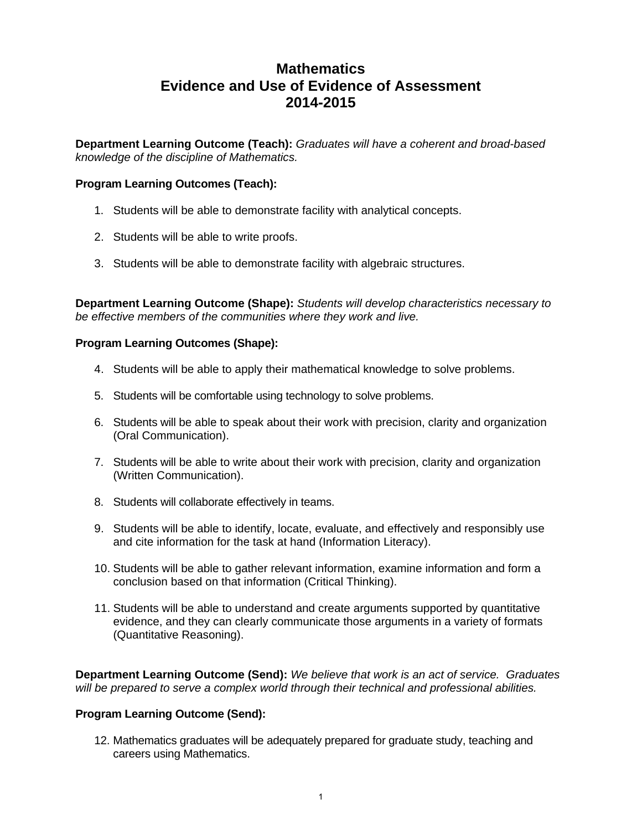# **Mathematics Evidence and Use of Evidence of Assessment 2014-2015**

**Department Learning Outcome (Teach):** *Graduates will have a coherent and broad-based knowledge of the discipline of Mathematics.* 

## **Program Learning Outcomes (Teach):**

- 1. Students will be able to demonstrate facility with analytical concepts.
- 2. Students will be able to write proofs.
- 3. Students will be able to demonstrate facility with algebraic structures.

**Department Learning Outcome (Shape):** *Students will develop characteristics necessary to be effective members of the communities where they work and live.* 

### **Program Learning Outcomes (Shape):**

- 4. Students will be able to apply their mathematical knowledge to solve problems.
- 5. Students will be comfortable using technology to solve problems.
- 6. Students will be able to speak about their work with precision, clarity and organization (Oral Communication).
- 7. Students will be able to write about their work with precision, clarity and organization (Written Communication).
- 8. Students will collaborate effectively in teams.
- 9. Students will be able to identify, locate, evaluate, and effectively and responsibly use and cite information for the task at hand (Information Literacy).
- 10. Students will be able to gather relevant information, examine information and form a conclusion based on that information (Critical Thinking).
- 11. Students will be able to understand and create arguments supported by quantitative evidence, and they can clearly communicate those arguments in a variety of formats (Quantitative Reasoning).

**Department Learning Outcome (Send):** *We believe that work is an act of service. Graduates will be prepared to serve a complex world through their technical and professional abilities.* 

#### **Program Learning Outcome (Send):**

12. Mathematics graduates will be adequately prepared for graduate study, teaching and careers using Mathematics.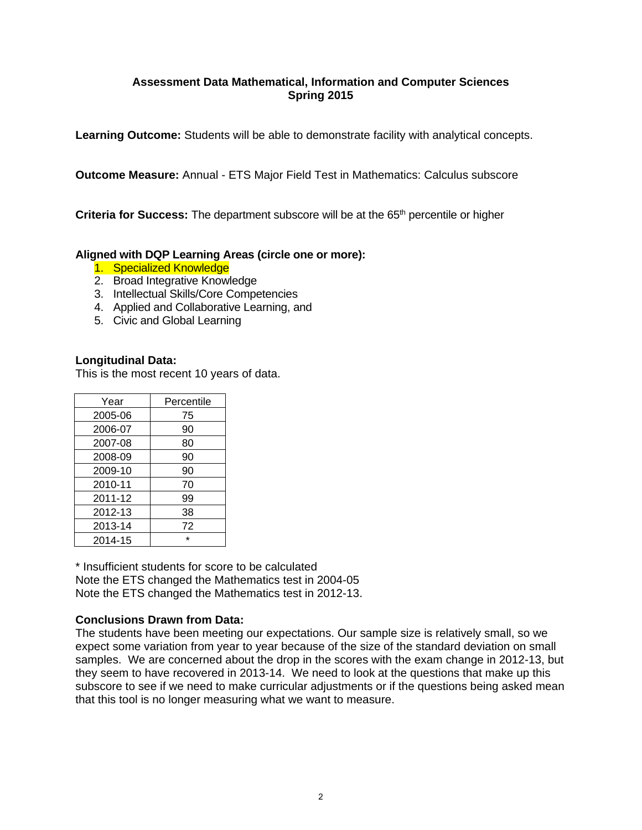# **Assessment Data Mathematical, Information and Computer Sciences Spring 2015**

**Learning Outcome:** Students will be able to demonstrate facility with analytical concepts.

**Outcome Measure:** Annual - ETS Major Field Test in Mathematics: Calculus subscore

**Criteria for Success:** The department subscore will be at the 65<sup>th</sup> percentile or higher

# **Aligned with DQP Learning Areas (circle one or more):**

- 1. Specialized Knowledge
- 2. Broad Integrative Knowledge
- 3. Intellectual Skills/Core Competencies
- 4. Applied and Collaborative Learning, and
- 5. Civic and Global Learning

### **Longitudinal Data:**

This is the most recent 10 years of data.

| Year    | Percentile |
|---------|------------|
| 2005-06 | 75         |
| 2006-07 | 90         |
| 2007-08 | 80         |
| 2008-09 | 90         |
| 2009-10 | 90         |
| 2010-11 | 70         |
| 2011-12 | 99         |
| 2012-13 | 38         |
| 2013-14 | 72         |
| 2014-15 | $\star$    |

\* Insufficient students for score to be calculated Note the ETS changed the Mathematics test in 2004-05 Note the ETS changed the Mathematics test in 2012-13.

#### **Conclusions Drawn from Data:**

The students have been meeting our expectations. Our sample size is relatively small, so we expect some variation from year to year because of the size of the standard deviation on small samples. We are concerned about the drop in the scores with the exam change in 2012-13, but they seem to have recovered in 2013-14. We need to look at the questions that make up this subscore to see if we need to make curricular adjustments or if the questions being asked mean that this tool is no longer measuring what we want to measure.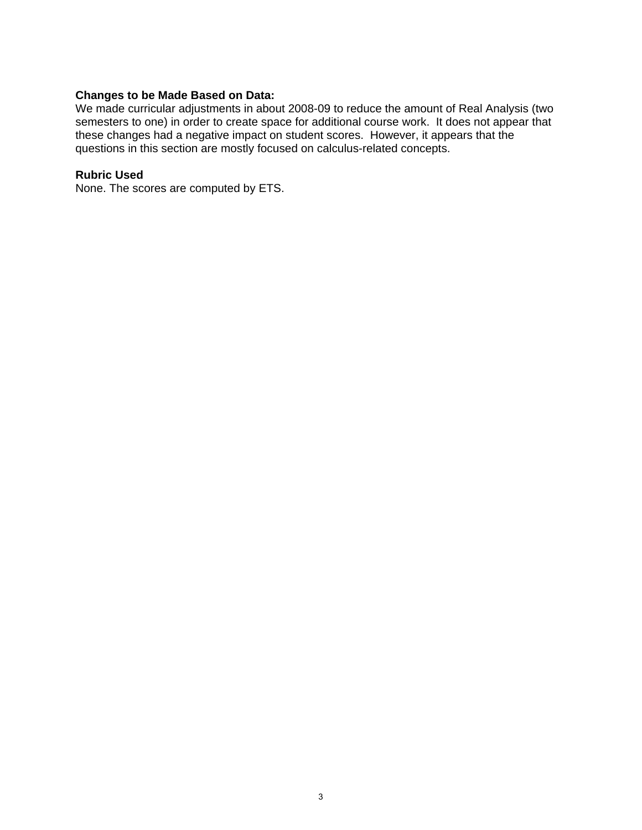#### **Changes to be Made Based on Data:**

We made curricular adjustments in about 2008-09 to reduce the amount of Real Analysis (two semesters to one) in order to create space for additional course work. It does not appear that these changes had a negative impact on student scores. However, it appears that the questions in this section are mostly focused on calculus-related concepts.

### **Rubric Used**

None. The scores are computed by ETS.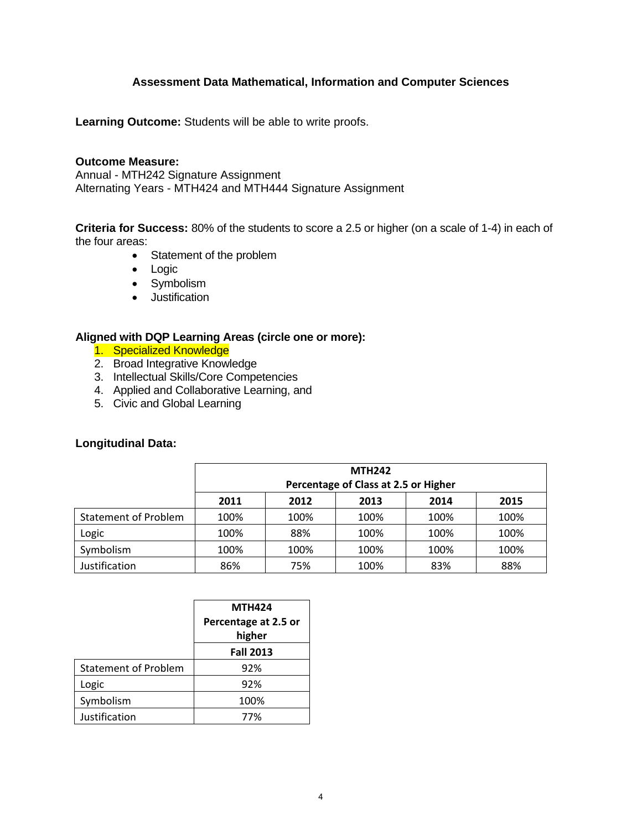# **Assessment Data Mathematical, Information and Computer Sciences**

**Learning Outcome:** Students will be able to write proofs.

#### **Outcome Measure:**

Annual - MTH242 Signature Assignment Alternating Years - MTH424 and MTH444 Signature Assignment

**Criteria for Success:** 80% of the students to score a 2.5 or higher (on a scale of 1-4) in each of the four areas:

- Statement of the problem
- Logic
- Symbolism
- **•** Justification

### **Aligned with DQP Learning Areas (circle one or more):**

- 1. Specialized Knowledge
- 2. Broad Integrative Knowledge
- 3. Intellectual Skills/Core Competencies
- 4. Applied and Collaborative Learning, and
- 5. Civic and Global Learning

# **Longitudinal Data:**

|                                      | <b>MTH242</b><br>Percentage of Class at 2.5 or Higher |      |      |      |      |  |  |
|--------------------------------------|-------------------------------------------------------|------|------|------|------|--|--|
| 2011<br>2014<br>2012<br>2013<br>2015 |                                                       |      |      |      |      |  |  |
| <b>Statement of Problem</b>          | 100%                                                  | 100% | 100% | 100% | 100% |  |  |
| Logic                                | 100%                                                  | 88%  | 100% | 100% | 100% |  |  |
| Symbolism                            | 100%                                                  | 100% | 100% | 100% | 100% |  |  |
| Justification                        | 86%                                                   | 75%  | 100% | 83%  | 88%  |  |  |

|                             | <b>MTH424</b><br>Percentage at 2.5 or<br>higher |
|-----------------------------|-------------------------------------------------|
|                             | <b>Fall 2013</b>                                |
| <b>Statement of Problem</b> | 92%                                             |
| Logic                       | 92%                                             |
| Symbolism                   | 100%                                            |
| Justification               | 77%                                             |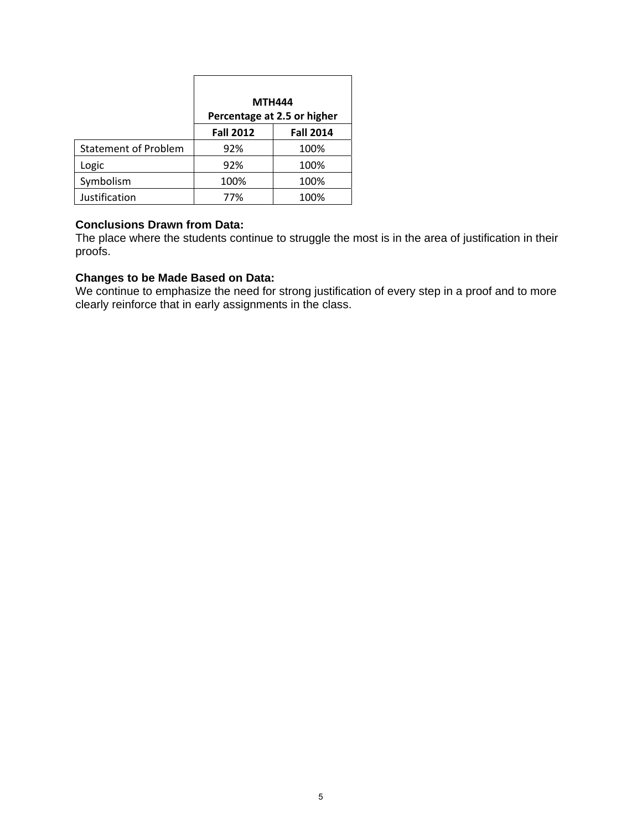|                             | <b>MTH444</b>    | Percentage at 2.5 or higher |
|-----------------------------|------------------|-----------------------------|
|                             | <b>Fall 2012</b> | <b>Fall 2014</b>            |
| <b>Statement of Problem</b> | 92%              | 100%                        |
| Logic                       | 92%              | 100%                        |
| Symbolism                   | 100%             | 100%                        |
| Justification               | 77%              | 100%                        |

# **Conclusions Drawn from Data:**

The place where the students continue to struggle the most is in the area of justification in their proofs.

# **Changes to be Made Based on Data:**

We continue to emphasize the need for strong justification of every step in a proof and to more clearly reinforce that in early assignments in the class.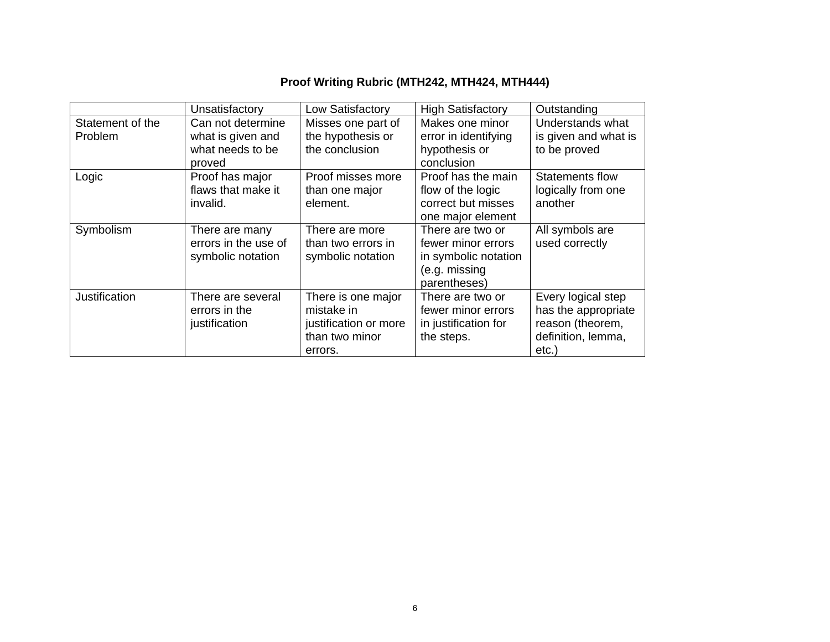# **Proof Writing Rubric (MTH242, MTH424, MTH444)**

|                  | Unsatisfactory       | Low Satisfactory      | <b>High Satisfactory</b> | Outstanding            |
|------------------|----------------------|-----------------------|--------------------------|------------------------|
| Statement of the | Can not determine    | Misses one part of    | Makes one minor          | Understands what       |
| <b>Problem</b>   | what is given and    | the hypothesis or     | error in identifying     | is given and what is   |
|                  | what needs to be     | the conclusion        | hypothesis or            | to be proved           |
|                  | proved               |                       | conclusion               |                        |
| Logic            | Proof has major      | Proof misses more     | Proof has the main       | <b>Statements flow</b> |
|                  | flaws that make it   | than one major        | flow of the logic        | logically from one     |
|                  | invalid.             | element.              | correct but misses       | another                |
|                  |                      |                       | one major element        |                        |
| Symbolism        | There are many       | There are more        | There are two or         | All symbols are        |
|                  | errors in the use of | than two errors in    | fewer minor errors       | used correctly         |
|                  | symbolic notation    | symbolic notation     | in symbolic notation     |                        |
|                  |                      |                       | (e.g. missing            |                        |
|                  |                      |                       | parentheses)             |                        |
| Justification    | There are several    | There is one major    | There are two or         | Every logical step     |
|                  | errors in the        | mistake in            | fewer minor errors       | has the appropriate    |
|                  | justification        | justification or more | in justification for     | reason (theorem,       |
|                  |                      | than two minor        | the steps.               | definition, lemma,     |
|                  |                      | errors.               |                          | etc.)                  |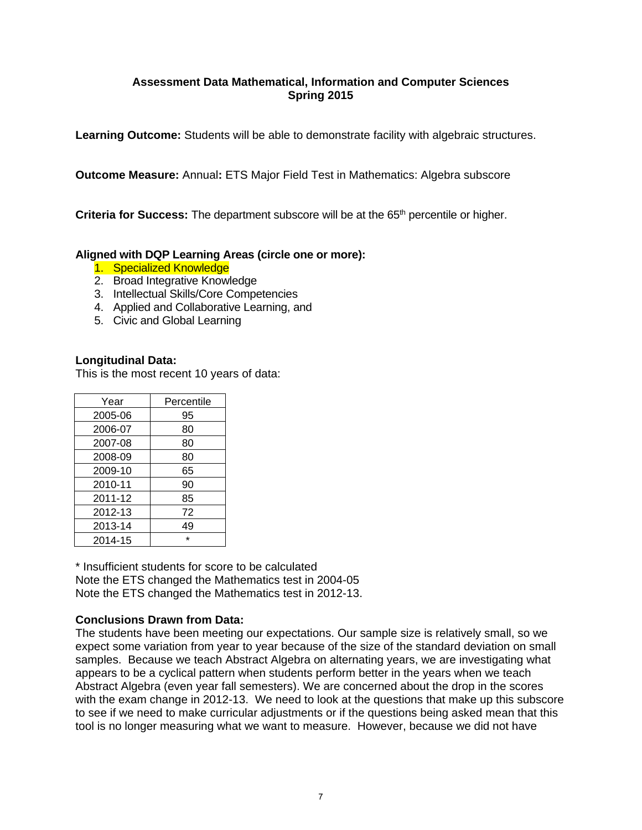# **Assessment Data Mathematical, Information and Computer Sciences Spring 2015**

**Learning Outcome:** Students will be able to demonstrate facility with algebraic structures.

**Outcome Measure:** Annual**:** ETS Major Field Test in Mathematics: Algebra subscore

**Criteria for Success:** The department subscore will be at the 65<sup>th</sup> percentile or higher.

# **Aligned with DQP Learning Areas (circle one or more):**

- 1. Specialized Knowledge
- 2. Broad Integrative Knowledge
- 3. Intellectual Skills/Core Competencies
- 4. Applied and Collaborative Learning, and
- 5. Civic and Global Learning

### **Longitudinal Data:**

This is the most recent 10 years of data:

| Year    | Percentile |
|---------|------------|
| 2005-06 | 95         |
| 2006-07 | 80         |
| 2007-08 | 80         |
| 2008-09 | 80         |
| 2009-10 | 65         |
| 2010-11 | 90         |
| 2011-12 | 85         |
| 2012-13 | 72         |
| 2013-14 | 49         |
| 2014-15 | $\star$    |

\* Insufficient students for score to be calculated Note the ETS changed the Mathematics test in 2004-05 Note the ETS changed the Mathematics test in 2012-13.

#### **Conclusions Drawn from Data:**

The students have been meeting our expectations. Our sample size is relatively small, so we expect some variation from year to year because of the size of the standard deviation on small samples. Because we teach Abstract Algebra on alternating years, we are investigating what appears to be a cyclical pattern when students perform better in the years when we teach Abstract Algebra (even year fall semesters). We are concerned about the drop in the scores with the exam change in 2012-13. We need to look at the questions that make up this subscore to see if we need to make curricular adjustments or if the questions being asked mean that this tool is no longer measuring what we want to measure. However, because we did not have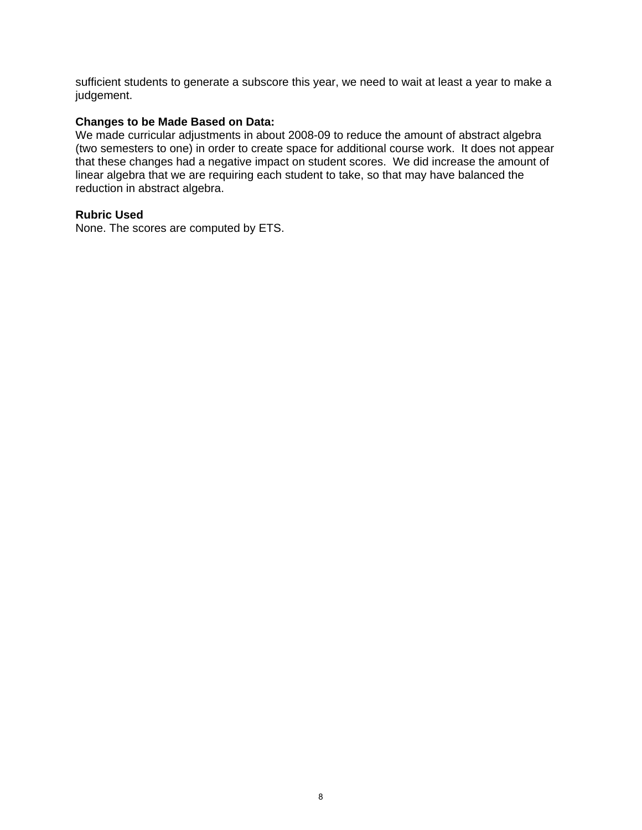sufficient students to generate a subscore this year, we need to wait at least a year to make a judgement.

#### **Changes to be Made Based on Data:**

We made curricular adjustments in about 2008-09 to reduce the amount of abstract algebra (two semesters to one) in order to create space for additional course work. It does not appear that these changes had a negative impact on student scores. We did increase the amount of linear algebra that we are requiring each student to take, so that may have balanced the reduction in abstract algebra.

## **Rubric Used**

None. The scores are computed by ETS.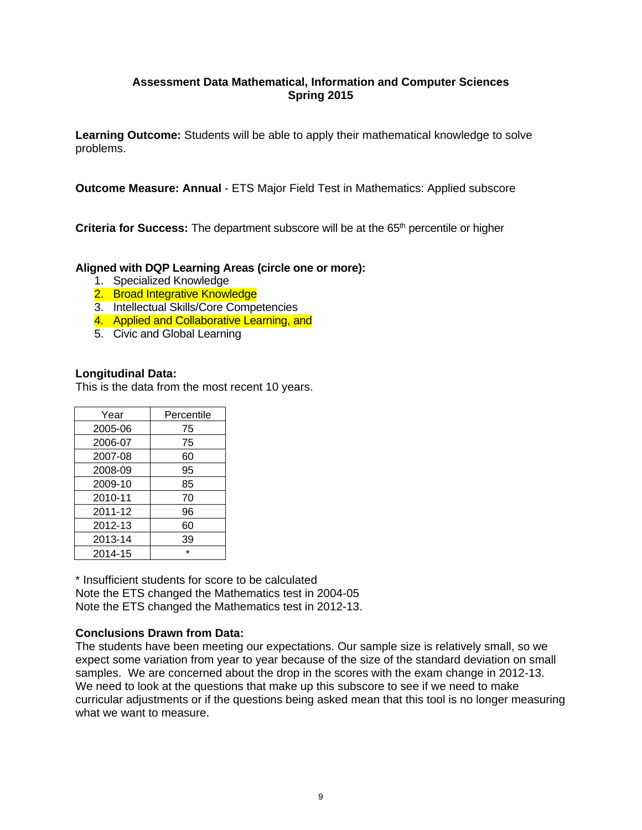# **Assessment Data Mathematical, Information and Computer Sciences Spring 2015**

**Learning Outcome:** Students will be able to apply their mathematical knowledge to solve problems.

**Outcome Measure: Annual** - ETS Major Field Test in Mathematics: Applied subscore

**Criteria for Success:** The department subscore will be at the 65<sup>th</sup> percentile or higher

### **Aligned with DQP Learning Areas (circle one or more):**

- 1. Specialized Knowledge
- 2. Broad Integrative Knowledge
- 3. Intellectual Skills/Core Competencies
- 4. Applied and Collaborative Learning, and
- 5. Civic and Global Learning

#### **Longitudinal Data:**

This is the data from the most recent 10 years.

| Year    | Percentile |
|---------|------------|
| 2005-06 | 75         |
| 2006-07 | 75         |
| 2007-08 | 60         |
| 2008-09 | 95         |
| 2009-10 | 85         |
| 2010-11 | 70         |
| 2011-12 | 96         |
| 2012-13 | 60         |
| 2013-14 | 39         |
| 2014-15 | ÷          |

\* Insufficient students for score to be calculated Note the ETS changed the Mathematics test in 2004-05 Note the ETS changed the Mathematics test in 2012-13.

#### **Conclusions Drawn from Data:**

The students have been meeting our expectations. Our sample size is relatively small, so we expect some variation from year to year because of the size of the standard deviation on small samples. We are concerned about the drop in the scores with the exam change in 2012-13. We need to look at the questions that make up this subscore to see if we need to make curricular adjustments or if the questions being asked mean that this tool is no longer measuring what we want to measure.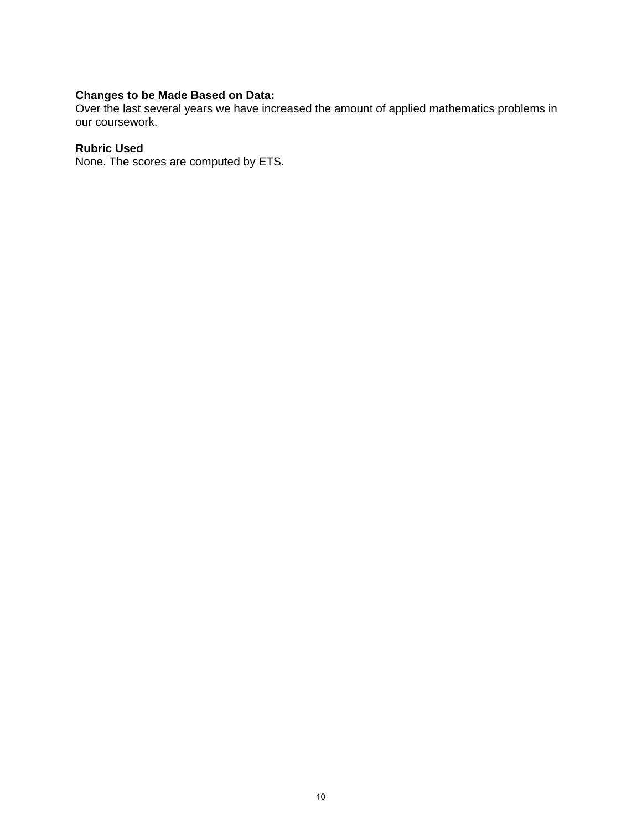#### **Changes to be Made Based on Data:**

Over the last several years we have increased the amount of applied mathematics problems in our coursework.

#### **Rubric Used**

None. The scores are computed by ETS.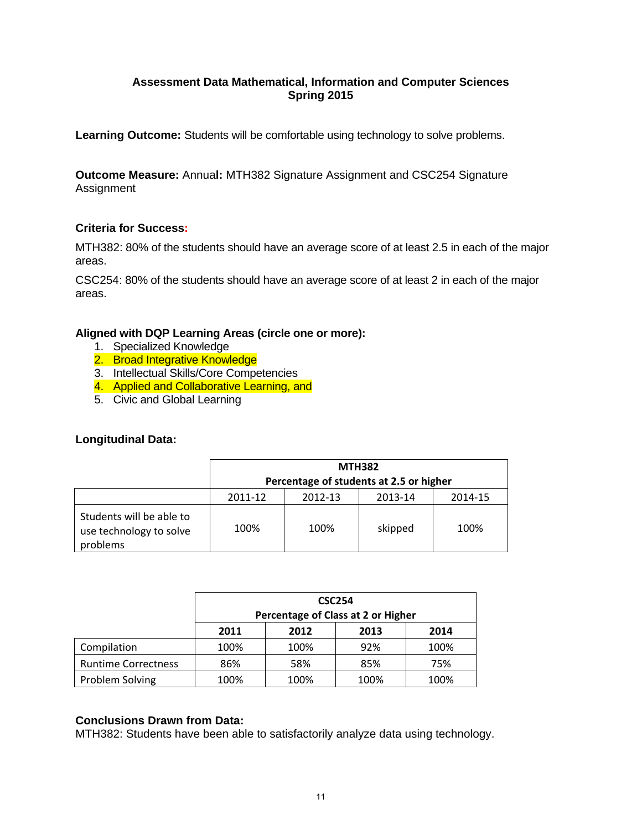# **Assessment Data Mathematical, Information and Computer Sciences Spring 2015**

**Learning Outcome:** Students will be comfortable using technology to solve problems.

**Outcome Measure:** Annua**l:** MTH382 Signature Assignment and CSC254 Signature Assignment

### **Criteria for Success:**

MTH382: 80% of the students should have an average score of at least 2.5 in each of the major areas.

CSC254: 80% of the students should have an average score of at least 2 in each of the major areas.

# **Aligned with DQP Learning Areas (circle one or more):**

- 1. Specialized Knowledge
- 2. Broad Integrative Knowledge
- 3. Intellectual Skills/Core Competencies
- 4. Applied and Collaborative Learning, and
- 5. Civic and Global Learning

# **Longitudinal Data:**

|                                                                 | <b>MTH382</b><br>Percentage of students at 2.5 or higher |      |         |      |  |  |  |  |
|-----------------------------------------------------------------|----------------------------------------------------------|------|---------|------|--|--|--|--|
|                                                                 | 2011-12<br>2012-13<br>2013-14<br>2014-15                 |      |         |      |  |  |  |  |
| Students will be able to<br>use technology to solve<br>problems | 100%                                                     | 100% | skipped | 100% |  |  |  |  |

|                            | <b>CSC254</b><br>Percentage of Class at 2 or Higher |      |     |      |  |  |  |  |  |
|----------------------------|-----------------------------------------------------|------|-----|------|--|--|--|--|--|
|                            | 2012<br>2013<br>2014<br>2011                        |      |     |      |  |  |  |  |  |
| Compilation                | 100%                                                | 100% | 92% | 100% |  |  |  |  |  |
| <b>Runtime Correctness</b> | 86%                                                 | 58%  | 85% | 75%  |  |  |  |  |  |
| Problem Solving            | 100%<br>100%<br>100%<br>100%                        |      |     |      |  |  |  |  |  |

# **Conclusions Drawn from Data:**

MTH382: Students have been able to satisfactorily analyze data using technology.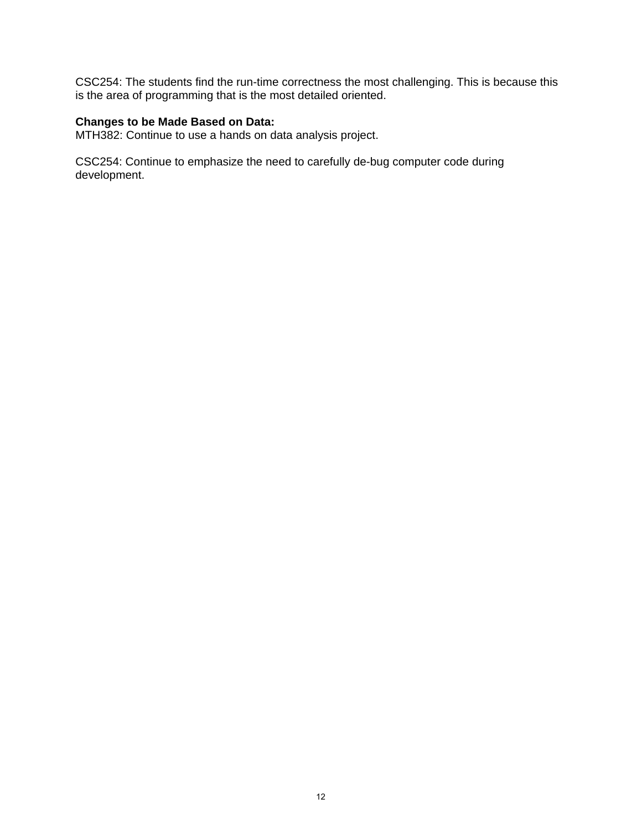CSC254: The students find the run-time correctness the most challenging. This is because this is the area of programming that is the most detailed oriented.

# **Changes to be Made Based on Data:**

MTH382: Continue to use a hands on data analysis project.

CSC254: Continue to emphasize the need to carefully de-bug computer code during development.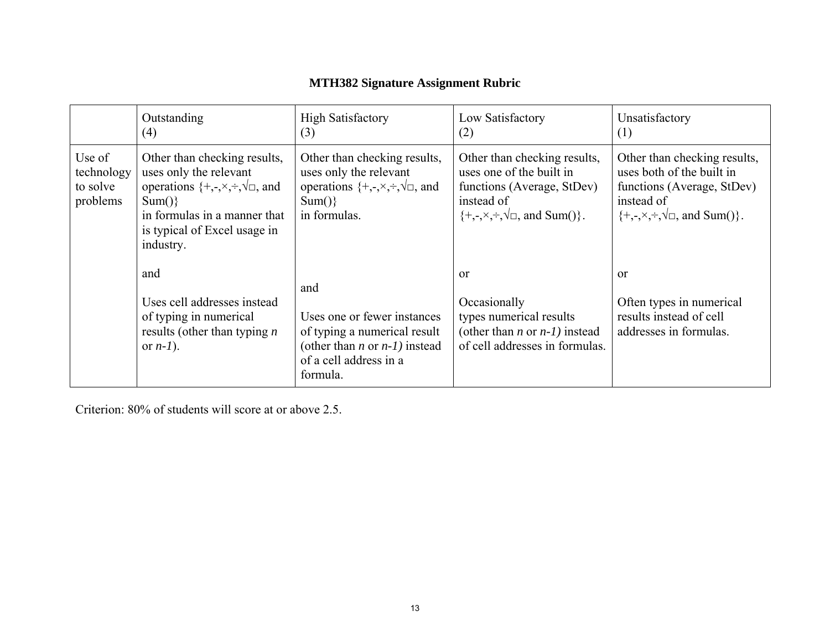# **MTH382 Signature Assignment Rubric**

|                                              | Outstanding<br>(4)                                                                                                                                                                                             | <b>High Satisfactory</b><br>(3)                                                                                                                     | Low Satisfactory<br>(2)                                                                                                                                                      | Unsatisfactory<br>(1)                                                                                                                                                |
|----------------------------------------------|----------------------------------------------------------------------------------------------------------------------------------------------------------------------------------------------------------------|-----------------------------------------------------------------------------------------------------------------------------------------------------|------------------------------------------------------------------------------------------------------------------------------------------------------------------------------|----------------------------------------------------------------------------------------------------------------------------------------------------------------------|
| Use of<br>technology<br>to solve<br>problems | Other than checking results,<br>uses only the relevant<br>operations $\{+, \text{-}, \times, \div, \sqrt{\square}$ , and<br>Sum()<br>in formulas in a manner that<br>is typical of Excel usage in<br>industry. | Other than checking results,<br>uses only the relevant<br>operations $\{+, \cdot, \times, \div, \sqrt{\Box} \}$ , and<br>Sum()<br>in formulas.      | Other than checking results,<br>uses one of the built in<br>functions (Average, StDev)<br>instead of<br>$\{+, \text{-}, \times, \div, \sqrt{\square}, \text{ and Sum}() \}.$ | Other than checking results,<br>uses both of the built in<br>functions (Average, StDev)<br>instead of<br>$\{+, \neg, \times, \div, \sqrt{\Box}, \text{ and Sum}(\}.$ |
|                                              | and<br>Uses cell addresses instead<br>of typing in numerical<br>results (other than typing $n$<br>or $n-1$ ).                                                                                                  | and<br>Uses one or fewer instances<br>of typing a numerical result<br>(other than <i>n</i> or $n-1$ ) instead<br>of a cell address in a<br>formula. | <sub>or</sub><br>Occasionally<br>types numerical results<br>(other than <i>n</i> or $n-1$ ) instead<br>of cell addresses in formulas.                                        | $\alpha$<br>Often types in numerical<br>results instead of cell<br>addresses in formulas.                                                                            |

Criterion: 80% of students will score at or above 2.5.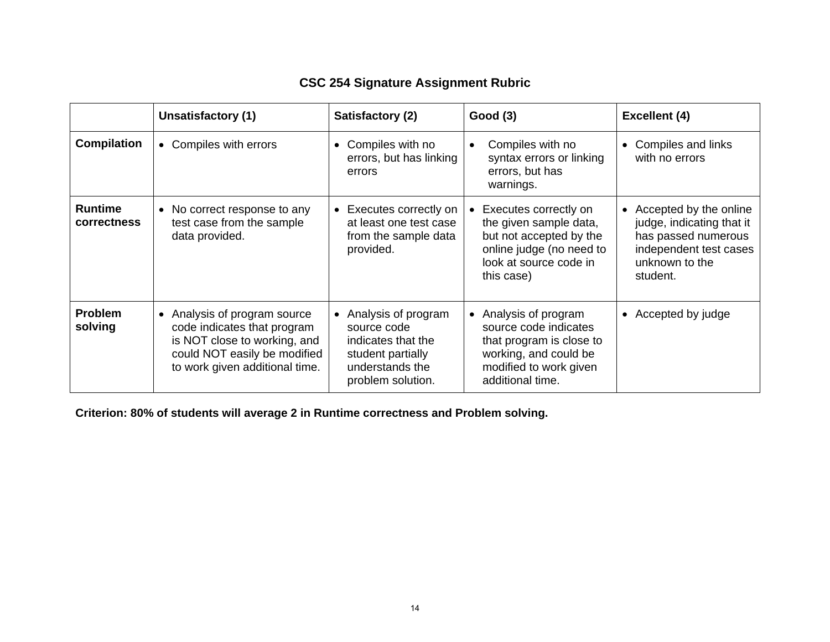# **CSC 254 Signature Assignment Rubric**

|                               | Unsatisfactory (1)                                                                                                                                            | Satisfactory (2)                                                                                                      | Good(3)                                                                                                                                           | <b>Excellent (4)</b>                                                                                                               |
|-------------------------------|---------------------------------------------------------------------------------------------------------------------------------------------------------------|-----------------------------------------------------------------------------------------------------------------------|---------------------------------------------------------------------------------------------------------------------------------------------------|------------------------------------------------------------------------------------------------------------------------------------|
| <b>Compilation</b>            | • Compiles with errors                                                                                                                                        | Compiles with no<br>$\bullet$<br>errors, but has linking<br>errors                                                    | Compiles with no<br>syntax errors or linking<br>errors, but has<br>warnings.                                                                      | Compiles and links<br>with no errors                                                                                               |
| <b>Runtime</b><br>correctness | • No correct response to any<br>test case from the sample<br>data provided.                                                                                   | • Executes correctly on<br>at least one test case<br>from the sample data<br>provided.                                | Executes correctly on<br>the given sample data,<br>but not accepted by the<br>online judge (no need to<br>look at source code in<br>this case)    | Accepted by the online<br>judge, indicating that it<br>has passed numerous<br>independent test cases<br>unknown to the<br>student. |
| <b>Problem</b><br>solving     | • Analysis of program source<br>code indicates that program<br>is NOT close to working, and<br>could NOT easily be modified<br>to work given additional time. | Analysis of program<br>source code<br>indicates that the<br>student partially<br>understands the<br>problem solution. | • Analysis of program<br>source code indicates<br>that program is close to<br>working, and could be<br>modified to work given<br>additional time. | • Accepted by judge                                                                                                                |

**Criterion: 80% of students will average 2 in Runtime correctness and Problem solving.**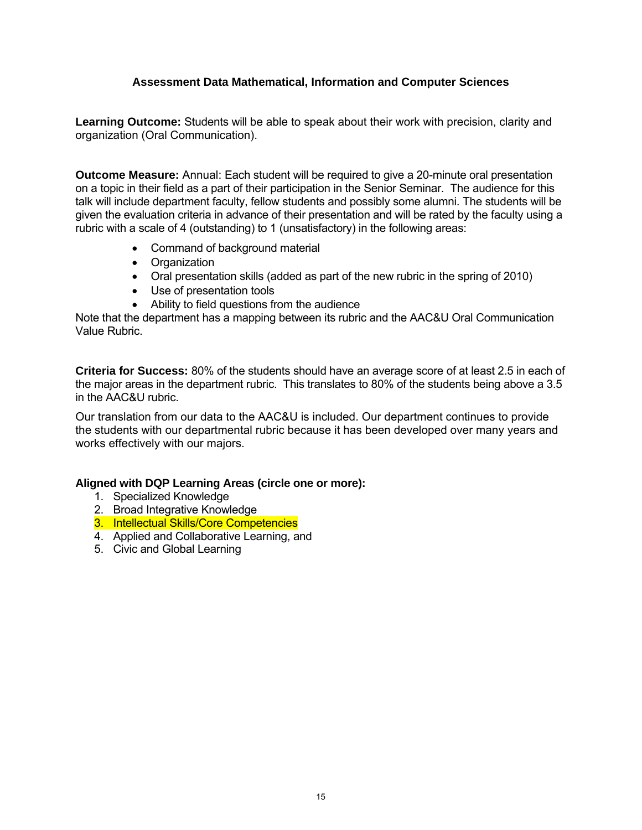# **Assessment Data Mathematical, Information and Computer Sciences**

**Learning Outcome:** Students will be able to speak about their work with precision, clarity and organization (Oral Communication).

**Outcome Measure:** Annual: Each student will be required to give a 20-minute oral presentation on a topic in their field as a part of their participation in the Senior Seminar. The audience for this talk will include department faculty, fellow students and possibly some alumni. The students will be given the evaluation criteria in advance of their presentation and will be rated by the faculty using a rubric with a scale of 4 (outstanding) to 1 (unsatisfactory) in the following areas:

- Command of background material
- Organization
- Oral presentation skills (added as part of the new rubric in the spring of 2010)
- Use of presentation tools
- Ability to field questions from the audience

Note that the department has a mapping between its rubric and the AAC&U Oral Communication Value Rubric.

**Criteria for Success:** 80% of the students should have an average score of at least 2.5 in each of the major areas in the department rubric. This translates to 80% of the students being above a 3.5 in the AAC&U rubric.

Our translation from our data to the AAC&U is included. Our department continues to provide the students with our departmental rubric because it has been developed over many years and works effectively with our majors.

#### **Aligned with DQP Learning Areas (circle one or more):**

- 1. Specialized Knowledge
- 2. Broad Integrative Knowledge
- 3. Intellectual Skills/Core Competencies
- 4. Applied and Collaborative Learning, and
- 5. Civic and Global Learning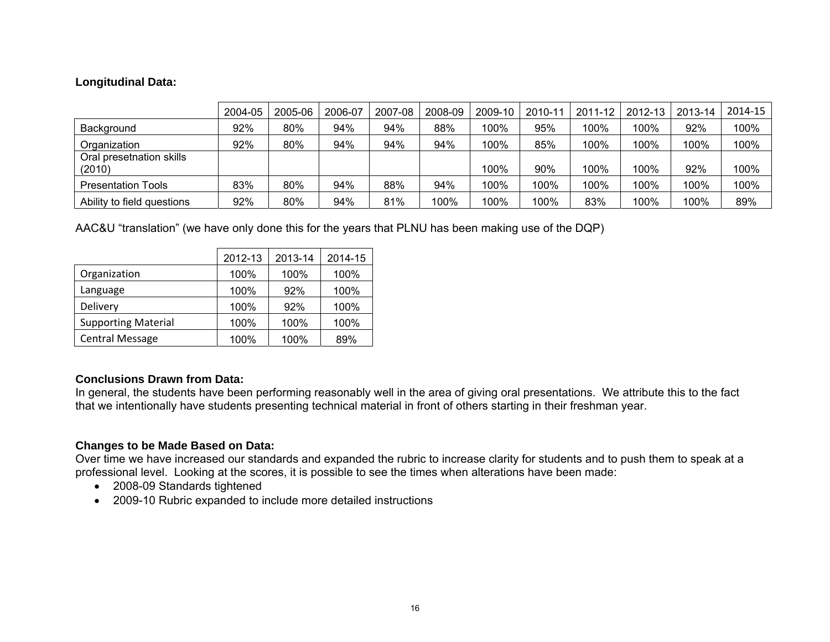# **Longitudinal Data:**

|                                    | 2004-05 | 2005-06 | 2006-07 | 2007-08 | 2008-09 | 2009-10 | 2010-11 | 2011-12 | 2012-13 | 2013-14 | 2014-15 |
|------------------------------------|---------|---------|---------|---------|---------|---------|---------|---------|---------|---------|---------|
| Background                         | 92%     | 80%     | 94%     | 94%     | 88%     | 100%    | 95%     | 100%    | 100%    | 92%     | 100%    |
| Organization                       | 92%     | 80%     | 94%     | 94%     | 94%     | 100%    | 85%     | 100%    | 100%    | 100%    | 100%    |
| Oral presetnation skills<br>(2010) |         |         |         |         |         | 100%    | 90%     | 100%    | 100%    | 92%     | 100%    |
| <b>Presentation Tools</b>          | 83%     | 80%     | 94%     | 88%     | 94%     | 100%    | 100%    | 100%    | 100%    | 100%    | 100%    |
| Ability to field questions         | 92%     | 80%     | 94%     | 81%     | 100%    | 100%    | 100%    | 83%     | 100%    | 100%    | 89%     |

AAC&U "translation" (we have only done this for the years that PLNU has been making use of the DQP)

|                            | 2012-13 | 2013-14 | 2014-15 |
|----------------------------|---------|---------|---------|
| Organization               | 100%    | 100%    | 100%    |
| Language                   | 100%    | 92%     | 100%    |
| Delivery                   | 100%    | 92%     | 100%    |
| <b>Supporting Material</b> | 100%    | 100%    | 100%    |
| <b>Central Message</b>     | 100%    | 100%    | 89%     |

# **Conclusions Drawn from Data:**

In general, the students have been performing reasonably well in the area of giving oral presentations. We attribute this to the fact that we intentionally have students presenting technical material in front of others starting in their freshman year.

# **Changes to be Made Based on Data:**

Over time we have increased our standards and expanded the rubric to increase clarity for students and to push them to speak at a professional level. Looking at the scores, it is possible to see the times when alterations have been made:

- 2008-09 Standards tightened
- 2009-10 Rubric expanded to include more detailed instructions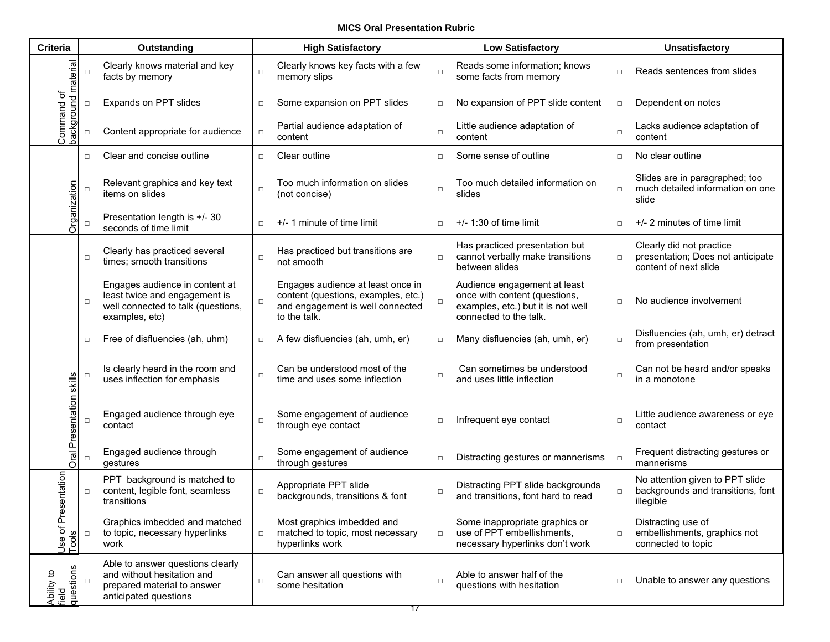**MICS Oral Presentation Rubric**

| <b>Criteria</b>                  |        | Outstanding                                                                                                             |        | <b>High Satisfactory</b>                                                                                                     |        | <b>Low Satisfactory</b>                                                                                                       |        | Unsatisfactory                                                                         |  |
|----------------------------------|--------|-------------------------------------------------------------------------------------------------------------------------|--------|------------------------------------------------------------------------------------------------------------------------------|--------|-------------------------------------------------------------------------------------------------------------------------------|--------|----------------------------------------------------------------------------------------|--|
| material                         | $\Box$ | Clearly knows material and key<br>facts by memory                                                                       | $\Box$ | Clearly knows key facts with a few<br>memory slips                                                                           | $\Box$ | Reads some information; knows<br>some facts from memory                                                                       | $\Box$ | Reads sentences from slides                                                            |  |
| ৳<br>ರ                           | $\Box$ | Expands on PPT slides                                                                                                   | $\Box$ | Some expansion on PPT slides                                                                                                 | $\Box$ | No expansion of PPT slide content                                                                                             | $\Box$ | Dependent on notes                                                                     |  |
| Command<br>nuonbypec             | $\Box$ | Content appropriate for audience                                                                                        | $\Box$ | Partial audience adaptation of<br>content                                                                                    | $\Box$ | Little audience adaptation of<br>content                                                                                      | $\Box$ | Lacks audience adaptation of<br>content                                                |  |
|                                  | $\Box$ | Clear and concise outline                                                                                               | $\Box$ | Clear outline                                                                                                                | $\Box$ | Some sense of outline                                                                                                         | $\Box$ | No clear outline                                                                       |  |
| anization                        | $\Box$ | Relevant graphics and key text<br>items on slides                                                                       | $\Box$ | Too much information on slides<br>(not concise)                                                                              | $\Box$ | Too much detailed information on<br>slides                                                                                    | $\Box$ | Slides are in paragraphed; too<br>much detailed information on one<br>slide            |  |
| ÖÖ                               | $\Box$ | Presentation length is +/- 30<br>seconds of time limit                                                                  | $\Box$ | +/- 1 minute of time limit                                                                                                   | $\Box$ | $+/- 1:30$ of time limit                                                                                                      | $\Box$ | +/- 2 minutes of time limit                                                            |  |
|                                  | $\Box$ | Clearly has practiced several<br>times; smooth transitions                                                              | $\Box$ | Has practiced but transitions are<br>not smooth                                                                              | $\Box$ | Has practiced presentation but<br>cannot verbally make transitions<br>between slides                                          | $\Box$ | Clearly did not practice<br>presentation; Does not anticipate<br>content of next slide |  |
|                                  | $\Box$ | Engages audience in content at<br>least twice and engagement is<br>well connected to talk (questions,<br>examples, etc) | $\Box$ | Engages audience at least once in<br>content (questions, examples, etc.)<br>and engagement is well connected<br>to the talk. | $\Box$ | Audience engagement at least<br>once with content (questions,<br>examples, etc.) but it is not well<br>connected to the talk. | $\Box$ | No audience involvement                                                                |  |
|                                  | $\Box$ | Free of disfluencies (ah, uhm)                                                                                          | $\Box$ | A few disfluencies (ah, umh, er)                                                                                             | $\Box$ | Many disfluencies (ah, umh, er)                                                                                               | $\Box$ | Disfluencies (ah, umh, er) detract<br>from presentation                                |  |
| skills                           | $\Box$ | Is clearly heard in the room and<br>uses inflection for emphasis                                                        | $\Box$ | Can be understood most of the<br>time and uses some inflection                                                               | $\Box$ | Can sometimes be understood<br>and uses little inflection                                                                     | $\Box$ | Can not be heard and/or speaks<br>in a monotone                                        |  |
| Presentation                     | $\Box$ | Engaged audience through eye<br>contact                                                                                 | $\Box$ | Some engagement of audience<br>through eye contact                                                                           | $\Box$ | Infrequent eye contact                                                                                                        | $\Box$ | Little audience awareness or eye<br>contact                                            |  |
| Oral                             | $\Box$ | Engaged audience through<br>gestures                                                                                    | $\Box$ | Some engagement of audience<br>through gestures                                                                              | $\Box$ | Distracting gestures or mannerisms                                                                                            | $\Box$ | Frequent distracting gestures or<br>mannerisms                                         |  |
| entation                         | □      | PPT background is matched to<br>content, legible font, seamless<br>transitions                                          | $\Box$ | Appropriate PPT slide<br>backgrounds, transitions & font                                                                     | $\Box$ | Distracting PPT slide backgrounds<br>and transitions, font hard to read                                                       | $\Box$ | No attention given to PPT slide<br>backgrounds and transitions, font<br>illegible      |  |
| Pres<br>፟፟፟፟፟፟፟<br>Use<br>Tool   | П      | Graphics imbedded and matched<br>to topic, necessary hyperlinks<br>work                                                 | $\Box$ | Most graphics imbedded and<br>matched to topic, most necessary<br>hyperlinks work                                            | $\Box$ | Some inappropriate graphics or<br>use of PPT embellishments,<br>necessary hyperlinks don't work                               | $\Box$ | Distracting use of<br>embellishments, graphics not<br>connected to topic               |  |
| questions<br>Ability to<br>field | $\Box$ | Able to answer questions clearly<br>and without hesitation and<br>prepared material to answer<br>anticipated questions  | $\Box$ | Can answer all questions with<br>some hesitation                                                                             | $\Box$ | Able to answer half of the<br>questions with hesitation                                                                       | $\Box$ | Unable to answer any questions                                                         |  |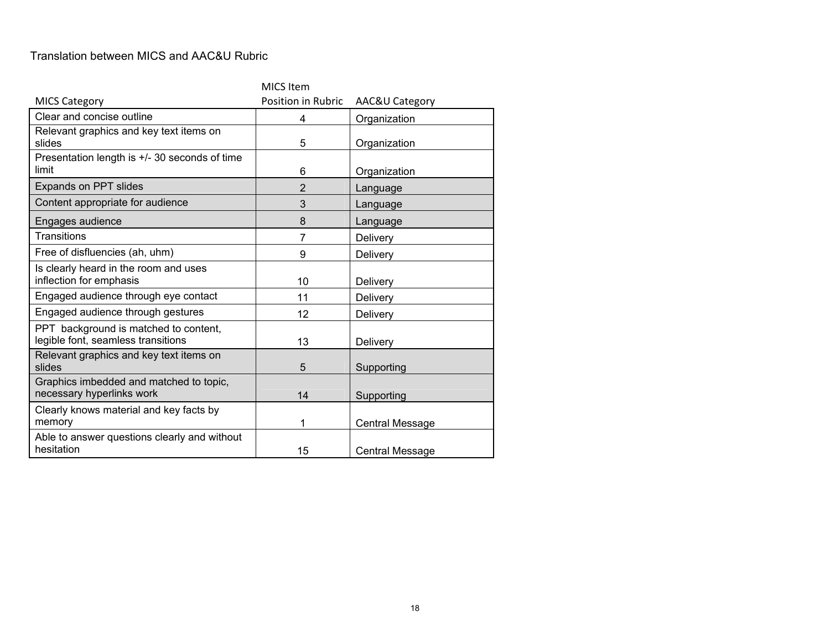#### Translation between MICS and AAC&U Rubric

|                                                                             | MICS Item          |                        |
|-----------------------------------------------------------------------------|--------------------|------------------------|
| <b>MICS Category</b>                                                        | Position in Rubric | AAC&U Category         |
| Clear and concise outline                                                   | 4                  | Organization           |
| Relevant graphics and key text items on<br>slides                           | 5                  | Organization           |
| Presentation length is +/- 30 seconds of time<br>limit                      | 6                  | Organization           |
| <b>Expands on PPT slides</b>                                                | $\overline{2}$     | Language               |
| Content appropriate for audience                                            | 3                  | Language               |
| Engages audience                                                            | 8                  | Language               |
| Transitions                                                                 | $\overline{7}$     | Delivery               |
| Free of disfluencies (ah, uhm)                                              | 9                  | Delivery               |
| Is clearly heard in the room and uses<br>inflection for emphasis            | 10                 | Delivery               |
| Engaged audience through eye contact                                        | 11                 | Delivery               |
| Engaged audience through gestures                                           | 12                 | Delivery               |
| PPT background is matched to content,<br>legible font, seamless transitions | 13                 | Delivery               |
| Relevant graphics and key text items on<br>slides                           | 5                  | Supporting             |
| Graphics imbedded and matched to topic,<br>necessary hyperlinks work        | 14                 | Supporting             |
| Clearly knows material and key facts by<br>memory                           | 1                  | <b>Central Message</b> |
| Able to answer questions clearly and without<br>hesitation                  | 15                 | <b>Central Message</b> |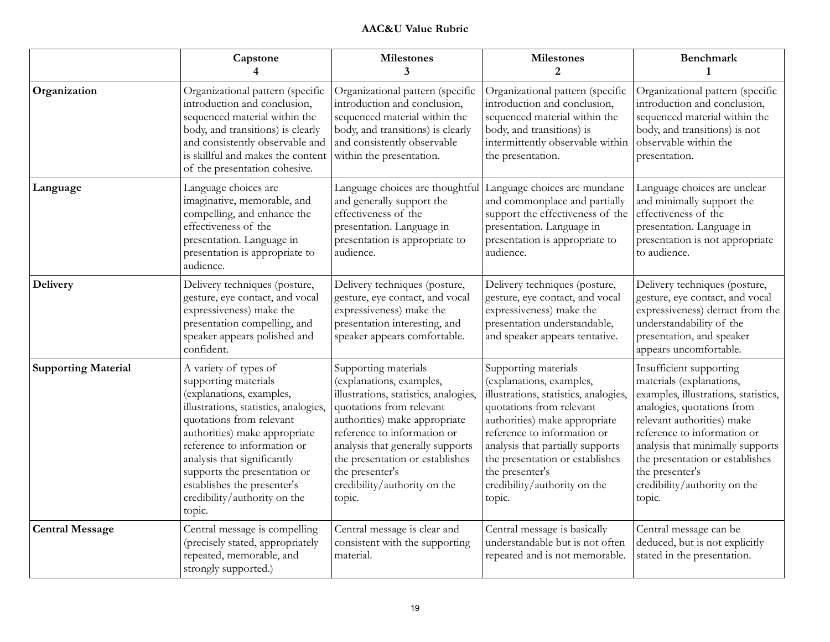### **AAC&U Value Rubric**

|                            | Capstone<br>4                                                                                                                                                                                                                                                                                                                                          | <b>Milestones</b><br>3                                                                                                                                                                                                                                                                                                    | <b>Milestones</b><br>2                                                                                                                                                                                                                                                                                                    | <b>Benchmark</b><br>$\mathbf{1}$                                                                                                                                                                                                                                                                                           |
|----------------------------|--------------------------------------------------------------------------------------------------------------------------------------------------------------------------------------------------------------------------------------------------------------------------------------------------------------------------------------------------------|---------------------------------------------------------------------------------------------------------------------------------------------------------------------------------------------------------------------------------------------------------------------------------------------------------------------------|---------------------------------------------------------------------------------------------------------------------------------------------------------------------------------------------------------------------------------------------------------------------------------------------------------------------------|----------------------------------------------------------------------------------------------------------------------------------------------------------------------------------------------------------------------------------------------------------------------------------------------------------------------------|
| Organization               | Organizational pattern (specific<br>introduction and conclusion,<br>sequenced material within the<br>body, and transitions) is clearly<br>and consistently observable and<br>is skillful and makes the content<br>of the presentation cohesive.                                                                                                        | Organizational pattern (specific<br>introduction and conclusion,<br>sequenced material within the<br>body, and transitions) is clearly<br>and consistently observable<br>within the presentation.                                                                                                                         | Organizational pattern (specific<br>introduction and conclusion,<br>sequenced material within the<br>body, and transitions) is<br>intermittently observable within<br>the presentation.                                                                                                                                   | Organizational pattern (specific<br>introduction and conclusion,<br>sequenced material within the<br>body, and transitions) is not<br>observable within the<br>presentation.                                                                                                                                               |
| Language                   | Language choices are<br>imaginative, memorable, and<br>compelling, and enhance the<br>effectiveness of the<br>presentation. Language in<br>presentation is appropriate to<br>audience.                                                                                                                                                                 | Language choices are thoughtful Language choices are mundane<br>and generally support the<br>effectiveness of the<br>presentation. Language in<br>presentation is appropriate to<br>audience.                                                                                                                             | and commonplace and partially<br>support the effectiveness of the<br>presentation. Language in<br>presentation is appropriate to<br>audience.                                                                                                                                                                             | Language choices are unclear<br>and minimally support the<br>effectiveness of the<br>presentation. Language in<br>presentation is not appropriate<br>to audience.                                                                                                                                                          |
| <b>Delivery</b>            | Delivery techniques (posture,<br>gesture, eye contact, and vocal<br>expressiveness) make the<br>presentation compelling, and<br>speaker appears polished and<br>confident.                                                                                                                                                                             | Delivery techniques (posture,<br>gesture, eye contact, and vocal<br>expressiveness) make the<br>presentation interesting, and<br>speaker appears comfortable.                                                                                                                                                             | Delivery techniques (posture,<br>gesture, eye contact, and vocal<br>expressiveness) make the<br>presentation understandable,<br>and speaker appears tentative.                                                                                                                                                            | Delivery techniques (posture,<br>gesture, eye contact, and vocal<br>expressiveness) detract from the<br>understandability of the<br>presentation, and speaker<br>appears uncomfortable.                                                                                                                                    |
| <b>Supporting Material</b> | A variety of types of<br>supporting materials<br>(explanations, examples,<br>illustrations, statistics, analogies,<br>quotations from relevant<br>authorities) make appropriate<br>reference to information or<br>analysis that significantly<br>supports the presentation or<br>establishes the presenter's<br>credibility/authority on the<br>topic. | Supporting materials<br>(explanations, examples,<br>illustrations, statistics, analogies,<br>quotations from relevant<br>authorities) make appropriate<br>reference to information or<br>analysis that generally supports<br>the presentation or establishes<br>the presenter's<br>credibility/authority on the<br>topic. | Supporting materials<br>(explanations, examples,<br>illustrations, statistics, analogies,<br>quotations from relevant<br>authorities) make appropriate<br>reference to information or<br>analysis that partially supports<br>the presentation or establishes<br>the presenter's<br>credibility/authority on the<br>topic. | Insufficient supporting<br>materials (explanations,<br>examples, illustrations, statistics,<br>analogies, quotations from<br>relevant authorities) make<br>reference to information or<br>analysis that minimally supports<br>the presentation or establishes<br>the presenter's<br>credibility/authority on the<br>topic. |
| <b>Central Message</b>     | Central message is compelling<br>(precisely stated, appropriately<br>repeated, memorable, and<br>strongly supported.)                                                                                                                                                                                                                                  | Central message is clear and<br>consistent with the supporting<br>material.                                                                                                                                                                                                                                               | Central message is basically<br>understandable but is not often<br>repeated and is not memorable.                                                                                                                                                                                                                         | Central message can be<br>deduced, but is not explicitly<br>stated in the presentation.                                                                                                                                                                                                                                    |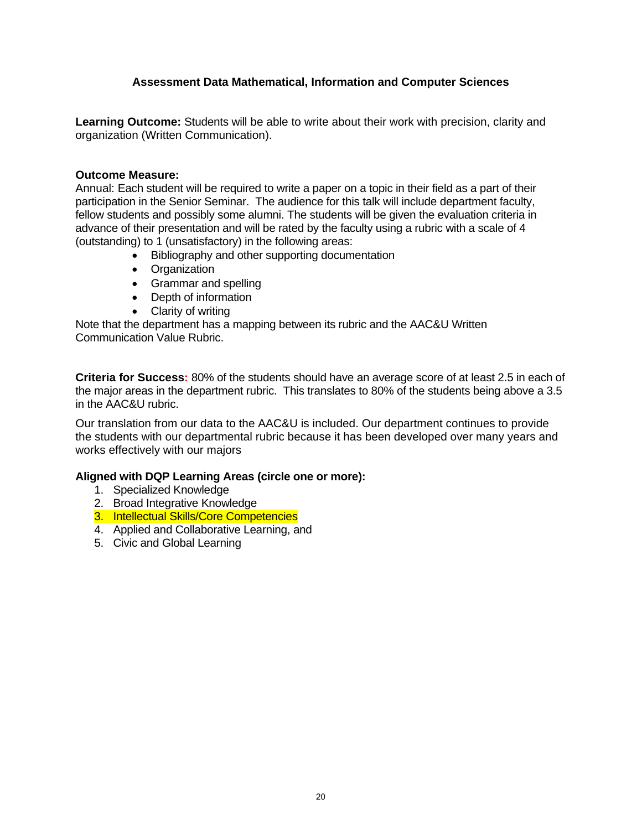# **Assessment Data Mathematical, Information and Computer Sciences**

**Learning Outcome:** Students will be able to write about their work with precision, clarity and organization (Written Communication).

#### **Outcome Measure:**

Annual: Each student will be required to write a paper on a topic in their field as a part of their participation in the Senior Seminar. The audience for this talk will include department faculty, fellow students and possibly some alumni. The students will be given the evaluation criteria in advance of their presentation and will be rated by the faculty using a rubric with a scale of 4 (outstanding) to 1 (unsatisfactory) in the following areas:

- Bibliography and other supporting documentation
- Organization
- Grammar and spelling
- Depth of information
- Clarity of writing

Note that the department has a mapping between its rubric and the AAC&U Written Communication Value Rubric.

**Criteria for Success:** 80% of the students should have an average score of at least 2.5 in each of the major areas in the department rubric. This translates to 80% of the students being above a 3.5 in the AAC&U rubric.

Our translation from our data to the AAC&U is included. Our department continues to provide the students with our departmental rubric because it has been developed over many years and works effectively with our majors

# **Aligned with DQP Learning Areas (circle one or more):**

- 1. Specialized Knowledge
- 2. Broad Integrative Knowledge
- 3. Intellectual Skills/Core Competencies
- 4. Applied and Collaborative Learning, and
- 5. Civic and Global Learning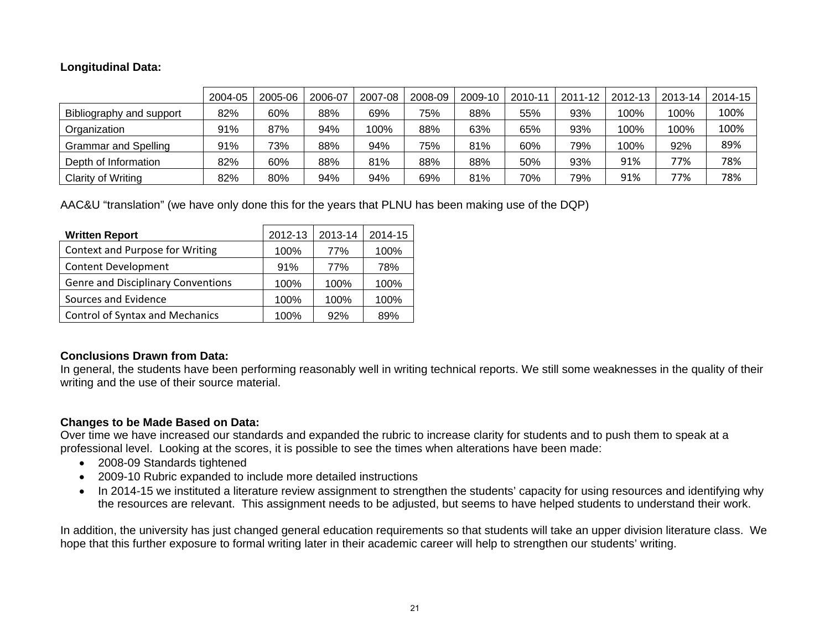# **Longitudinal Data:**

|                             | 2004-05 | 2005-06 | 2006-07 | 2007-08 | 2008-09 | 2009-10 | 2010-11 | 2011-12 | 2012-13 | 2013-14 | 2014-15 |
|-----------------------------|---------|---------|---------|---------|---------|---------|---------|---------|---------|---------|---------|
| Bibliography and support    | 82%     | 60%     | 88%     | 69%     | 75%     | 88%     | 55%     | 93%     | 100%    | 100%    | 100%    |
| Organization                | 91%     | 87%     | 94%     | 100%    | 88%     | 63%     | 65%     | 93%     | 100%    | 100%    | 100%    |
| <b>Grammar and Spelling</b> | 91%     | 73%     | 88%     | 94%     | 75%     | 81%     | 60%     | 79%     | 100%    | 92%     | 89%     |
| Depth of Information        | 82%     | 60%     | 88%     | 81%     | 88%     | 88%     | 50%     | 93%     | 91%     | 77%     | 78%     |
| Clarity of Writing          | 82%     | 80%     | 94%     | 94%     | 69%     | 81%     | 70%     | 79%     | 91%     | 77%     | 78%     |

AAC&U "translation" (we have only done this for the years that PLNU has been making use of the DQP)

| <b>Written Report</b>                     | 2012-13 | 2013-14 | 2014-15 |
|-------------------------------------------|---------|---------|---------|
| Context and Purpose for Writing           | 100%    | 77%     | 100%    |
| Content Development                       | 91%     | 77%     | 78%     |
| <b>Genre and Disciplinary Conventions</b> | 100%    | 100%    | 100%    |
| Sources and Evidence                      | 100%    | 100%    | 100%    |
| <b>Control of Syntax and Mechanics</b>    | 100%    | 92%     | 89%     |

#### **Conclusions Drawn from Data:**

In general, the students have been performing reasonably well in writing technical reports. We still some weaknesses in the quality of their writing and the use of their source material.

# **Changes to be Made Based on Data:**

Over time we have increased our standards and expanded the rubric to increase clarity for students and to push them to speak at a professional level. Looking at the scores, it is possible to see the times when alterations have been made:

- 2008-09 Standards tightened
- 2009-10 Rubric expanded to include more detailed instructions
- In 2014-15 we instituted a literature review assignment to strengthen the students' capacity for using resources and identifying why the resources are relevant. This assignment needs to be adjusted, but seems to have helped students to understand their work.

In addition, the university has just changed general education requirements so that students will take an upper division literature class. We hope that this further exposure to formal writing later in their academic career will help to strengthen our students' writing.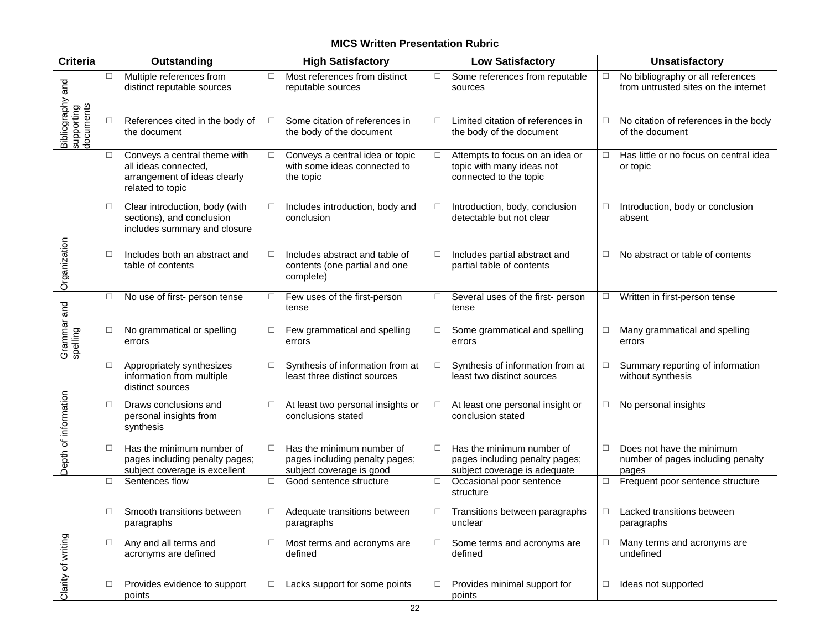# **MICS Written Presentation Rubric**

| <b>Criteria</b>                             | <b>Outstanding</b> |                                                                                                          | <b>High Satisfactory</b> |                                                                                         | <b>Low Satisfactory</b> |                                                                                             |        | <b>Unsatisfactory</b>                                                     |  |
|---------------------------------------------|--------------------|----------------------------------------------------------------------------------------------------------|--------------------------|-----------------------------------------------------------------------------------------|-------------------------|---------------------------------------------------------------------------------------------|--------|---------------------------------------------------------------------------|--|
|                                             | $\Box$             | Multiple references from<br>distinct reputable sources                                                   | $\Box$                   | Most references from distinct<br>reputable sources                                      | □                       | Some references from reputable<br>sources                                                   | $\Box$ | No bibliography or all references<br>from untrusted sites on the internet |  |
| Bibliography and<br>supporting<br>documents | □                  | References cited in the body of<br>the document                                                          | $\Box$                   | Some citation of references in<br>the body of the document                              | □                       | Limited citation of references in<br>the body of the document                               | $\Box$ | No citation of references in the body<br>of the document                  |  |
|                                             | □                  | Conveys a central theme with<br>all ideas connected,<br>arrangement of ideas clearly<br>related to topic | $\Box$                   | Conveys a central idea or topic<br>with some ideas connected to<br>the topic            | $\Box$                  | Attempts to focus on an idea or<br>topic with many ideas not<br>connected to the topic      | $\Box$ | Has little or no focus on central idea<br>or topic                        |  |
|                                             | □                  | Clear introduction, body (with<br>sections), and conclusion<br>includes summary and closure              | $\Box$                   | Includes introduction, body and<br>conclusion                                           | □                       | Introduction, body, conclusion<br>detectable but not clear                                  | □      | Introduction, body or conclusion<br>absent                                |  |
| Organization                                | $\Box$             | Includes both an abstract and<br>table of contents                                                       | □                        | Includes abstract and table of<br>contents (one partial and one<br>complete)            | □                       | Includes partial abstract and<br>partial table of contents                                  | □      | No abstract or table of contents                                          |  |
|                                             | □                  | No use of first- person tense                                                                            | $\Box$                   | Few uses of the first-person<br>tense                                                   | □                       | Several uses of the first- person<br>tense                                                  | $\Box$ | Written in first-person tense                                             |  |
| Grammar and<br>spelling                     | □                  | No grammatical or spelling<br>errors                                                                     | □                        | Few grammatical and spelling<br>errors                                                  | □                       | Some grammatical and spelling<br>errors                                                     | □      | Many grammatical and spelling<br>errors                                   |  |
|                                             | $\Box$             | Appropriately synthesizes<br>information from multiple<br>distinct sources                               | □                        | Synthesis of information from at<br>least three distinct sources                        | □                       | Synthesis of information from at<br>least two distinct sources                              | □      | Summary reporting of information<br>without synthesis                     |  |
| Depth of information                        | $\Box$             | Draws conclusions and<br>personal insights from<br>synthesis                                             | □                        | At least two personal insights or<br>conclusions stated                                 | □                       | At least one personal insight or<br>conclusion stated                                       | □      | No personal insights                                                      |  |
|                                             | □                  | Has the minimum number of<br>pages including penalty pages;<br>subject coverage is excellent             | $\Box$                   | Has the minimum number of<br>pages including penalty pages;<br>subject coverage is good | □                       | Has the minimum number of<br>pages including penalty pages;<br>subject coverage is adequate | □      | Does not have the minimum<br>number of pages including penalty<br>pages   |  |
|                                             | $\Box$             | Sentences flow                                                                                           | $\Box$                   | Good sentence structure                                                                 | $\Box$                  | Occasional poor sentence<br>structure                                                       | $\Box$ | Frequent poor sentence structure                                          |  |
|                                             | □                  | Smooth transitions between<br>paragraphs                                                                 | $\Box$                   | Adequate transitions between<br>paragraphs                                              | □                       | Transitions between paragraphs<br>unclear                                                   | □      | Lacked transitions between<br>paragraphs                                  |  |
| Clarity of writing                          | □                  | Any and all terms and<br>acronyms are defined                                                            | □                        | Most terms and acronyms are<br>defined                                                  | □                       | Some terms and acronyms are<br>defined                                                      | $\Box$ | Many terms and acronyms are<br>undefined                                  |  |
|                                             | $\Box$             | Provides evidence to support<br>points                                                                   | $\Box$                   | Lacks support for some points                                                           | □                       | Provides minimal support for<br>points                                                      | $\Box$ | Ideas not supported                                                       |  |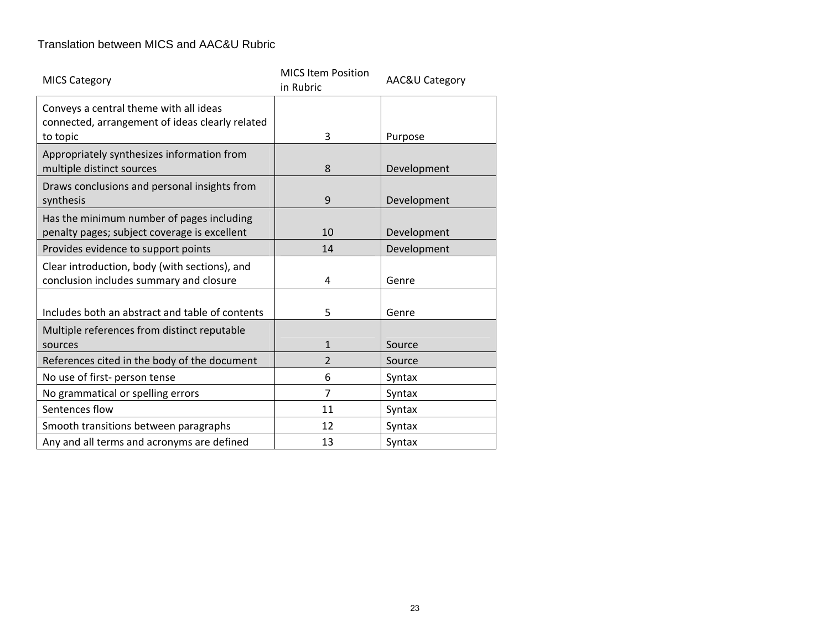### Translation between MICS and AAC&U Rubric

| <b>MICS Category</b>                                                                      | <b>MICS Item Position</b><br>in Rubric | AAC&U Category |
|-------------------------------------------------------------------------------------------|----------------------------------------|----------------|
| Conveys a central theme with all ideas<br>connected, arrangement of ideas clearly related |                                        |                |
| to topic                                                                                  | 3                                      | Purpose        |
| Appropriately synthesizes information from<br>multiple distinct sources                   | 8                                      | Development    |
| Draws conclusions and personal insights from<br>synthesis                                 | 9                                      | Development    |
| Has the minimum number of pages including<br>penalty pages; subject coverage is excellent | 10                                     | Development    |
| Provides evidence to support points                                                       | 14                                     | Development    |
| Clear introduction, body (with sections), and<br>conclusion includes summary and closure  | 4                                      | Genre          |
| Includes both an abstract and table of contents                                           | 5                                      | Genre          |
| Multiple references from distinct reputable<br>sources                                    | $\mathbf{1}$                           | Source         |
| References cited in the body of the document                                              | $\overline{2}$                         | Source         |
| No use of first- person tense                                                             | 6                                      | Syntax         |
| No grammatical or spelling errors                                                         | 7                                      | Syntax         |
| Sentences flow                                                                            | 11                                     | Syntax         |
| Smooth transitions between paragraphs                                                     | 12                                     | Syntax         |
| Any and all terms and acronyms are defined                                                | 13                                     | Syntax         |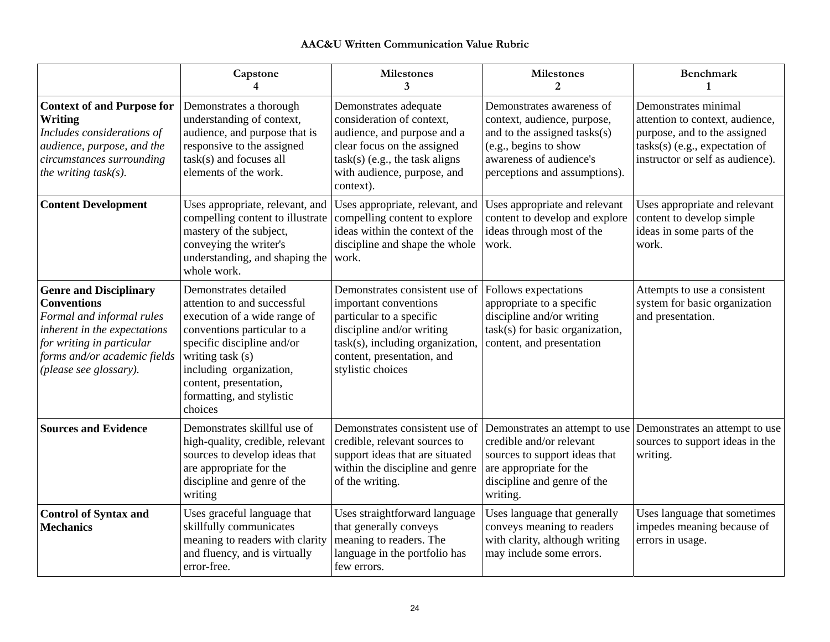#### **AAC&U Written Communication Value Rubric**

|                                                                                                                                                                                                         | Capstone                                                                                                                                                                                                                                                           | <b>Milestones</b><br>3                                                                                                                                                                                  | <b>Milestones</b><br>$\overline{2}$                                                                                                                                           | <b>Benchmark</b><br>1                                                                                                                                           |
|---------------------------------------------------------------------------------------------------------------------------------------------------------------------------------------------------------|--------------------------------------------------------------------------------------------------------------------------------------------------------------------------------------------------------------------------------------------------------------------|---------------------------------------------------------------------------------------------------------------------------------------------------------------------------------------------------------|-------------------------------------------------------------------------------------------------------------------------------------------------------------------------------|-----------------------------------------------------------------------------------------------------------------------------------------------------------------|
| <b>Context of and Purpose for</b><br><b>Writing</b><br>Includes considerations of<br>audience, purpose, and the<br>circumstances surrounding<br>the writing $task(s)$ .                                 | Demonstrates a thorough<br>understanding of context,<br>audience, and purpose that is<br>responsive to the assigned<br>task(s) and focuses all<br>elements of the work.                                                                                            | Demonstrates adequate<br>consideration of context,<br>audience, and purpose and a<br>clear focus on the assigned<br>$task(s)$ (e.g., the task aligns<br>with audience, purpose, and<br>context).        | Demonstrates awareness of<br>context, audience, purpose,<br>and to the assigned tasks(s)<br>(e.g., begins to show<br>awareness of audience's<br>perceptions and assumptions). | Demonstrates minimal<br>attention to context, audience,<br>purpose, and to the assigned<br>$tasks(s)$ (e.g., expectation of<br>instructor or self as audience). |
| <b>Content Development</b>                                                                                                                                                                              | Uses appropriate, relevant, and<br>compelling content to illustrate<br>mastery of the subject,<br>conveying the writer's<br>understanding, and shaping the<br>whole work.                                                                                          | Uses appropriate, relevant, and<br>compelling content to explore<br>ideas within the context of the<br>discipline and shape the whole<br>work.                                                          | Uses appropriate and relevant<br>content to develop and explore<br>ideas through most of the<br>work.                                                                         | Uses appropriate and relevant<br>content to develop simple<br>ideas in some parts of the<br>work.                                                               |
| <b>Genre and Disciplinary</b><br><b>Conventions</b><br>Formal and informal rules<br>inherent in the expectations<br>for writing in particular<br>forms and/or academic fields<br>(please see glossary). | Demonstrates detailed<br>attention to and successful<br>execution of a wide range of<br>conventions particular to a<br>specific discipline and/or<br>writing task (s)<br>including organization,<br>content, presentation,<br>formatting, and stylistic<br>choices | Demonstrates consistent use of<br>important conventions<br>particular to a specific<br>discipline and/or writing<br>task(s), including organization,<br>content, presentation, and<br>stylistic choices | Follows expectations<br>appropriate to a specific<br>discipline and/or writing<br>$task(s)$ for basic organization,<br>content, and presentation                              | Attempts to use a consistent<br>system for basic organization<br>and presentation.                                                                              |
| <b>Sources and Evidence</b>                                                                                                                                                                             | Demonstrates skillful use of<br>high-quality, credible, relevant<br>sources to develop ideas that<br>are appropriate for the<br>discipline and genre of the<br>writing                                                                                             | Demonstrates consistent use of<br>credible, relevant sources to<br>support ideas that are situated<br>within the discipline and genre<br>of the writing.                                                | Demonstrates an attempt to use<br>credible and/or relevant<br>sources to support ideas that<br>are appropriate for the<br>discipline and genre of the<br>writing.             | Demonstrates an attempt to use<br>sources to support ideas in the<br>writing.                                                                                   |
| <b>Control of Syntax and</b><br><b>Mechanics</b>                                                                                                                                                        | Uses graceful language that<br>skillfully communicates<br>meaning to readers with clarity<br>and fluency, and is virtually<br>error-free.                                                                                                                          | Uses straightforward language<br>that generally conveys<br>meaning to readers. The<br>language in the portfolio has<br>few errors.                                                                      | Uses language that generally<br>conveys meaning to readers<br>with clarity, although writing<br>may include some errors.                                                      | Uses language that sometimes<br>impedes meaning because of<br>errors in usage.                                                                                  |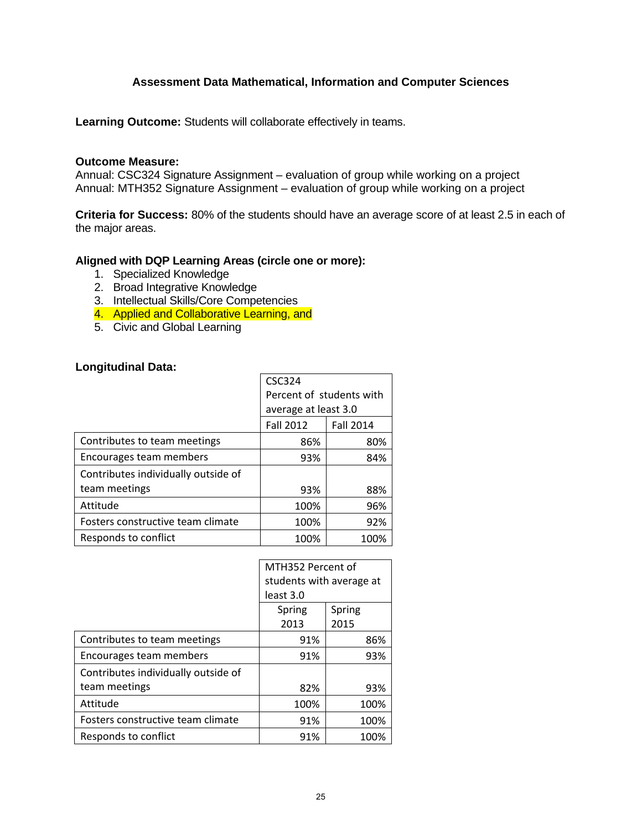# **Assessment Data Mathematical, Information and Computer Sciences**

**Learning Outcome:** Students will collaborate effectively in teams.

#### **Outcome Measure:**

Annual: CSC324 Signature Assignment – evaluation of group while working on a project Annual: MTH352 Signature Assignment – evaluation of group while working on a project

**Criteria for Success:** 80% of the students should have an average score of at least 2.5 in each of the major areas.

#### **Aligned with DQP Learning Areas (circle one or more):**

- 1. Specialized Knowledge
- 2. Broad Integrative Knowledge
- 3. Intellectual Skills/Core Competencies
- 4. Applied and Collaborative Learning, and
- 5. Civic and Global Learning

### **Longitudinal Data:**

|                                     | <b>CSC324</b>            |                  |  |
|-------------------------------------|--------------------------|------------------|--|
|                                     | Percent of students with |                  |  |
|                                     | average at least 3.0     |                  |  |
|                                     | <b>Fall 2012</b>         | <b>Fall 2014</b> |  |
| Contributes to team meetings        | 86%                      | 80%              |  |
| Encourages team members             | 93%                      | 84%              |  |
| Contributes individually outside of |                          |                  |  |
| team meetings                       | 93%                      | 88%              |  |
| Attitude                            | 100%                     | 96%              |  |
| Fosters constructive team climate   | 100%                     | 92%              |  |
| Responds to conflict                | 100%                     | 100%             |  |

|                                     | MTH352 Percent of        |        |  |
|-------------------------------------|--------------------------|--------|--|
|                                     | students with average at |        |  |
|                                     | least 3.0                |        |  |
|                                     | Spring                   | Spring |  |
|                                     | 2013                     | 2015   |  |
| Contributes to team meetings        | 91%                      | 86%    |  |
| Encourages team members             | 91%                      | 93%    |  |
| Contributes individually outside of |                          |        |  |
| team meetings                       | 82%                      | 93%    |  |
| Attitude                            | 100%                     | 100%   |  |
| Fosters constructive team climate   | 91%                      | 100%   |  |
| Responds to conflict                | 91%                      | 100%   |  |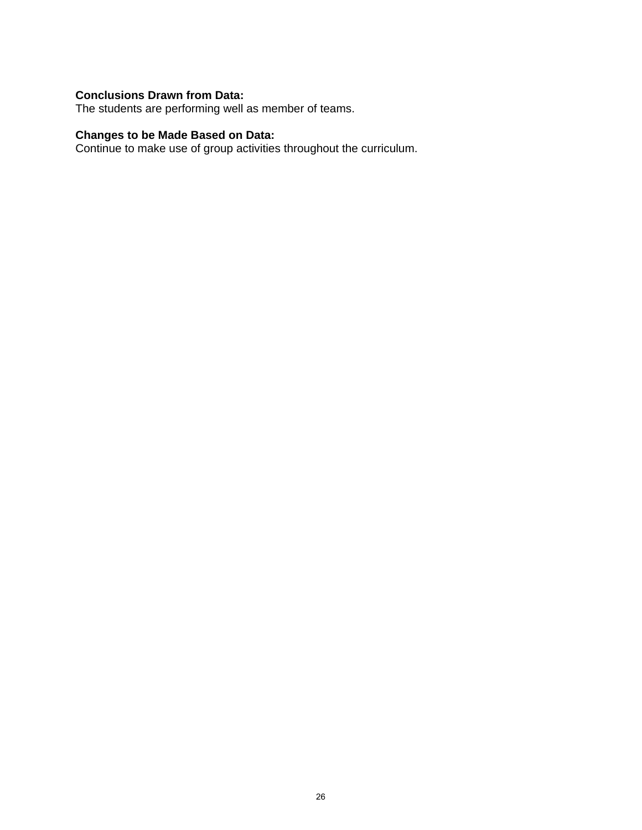# **Conclusions Drawn from Data:**

The students are performing well as member of teams.

#### **Changes to be Made Based on Data:**

Continue to make use of group activities throughout the curriculum.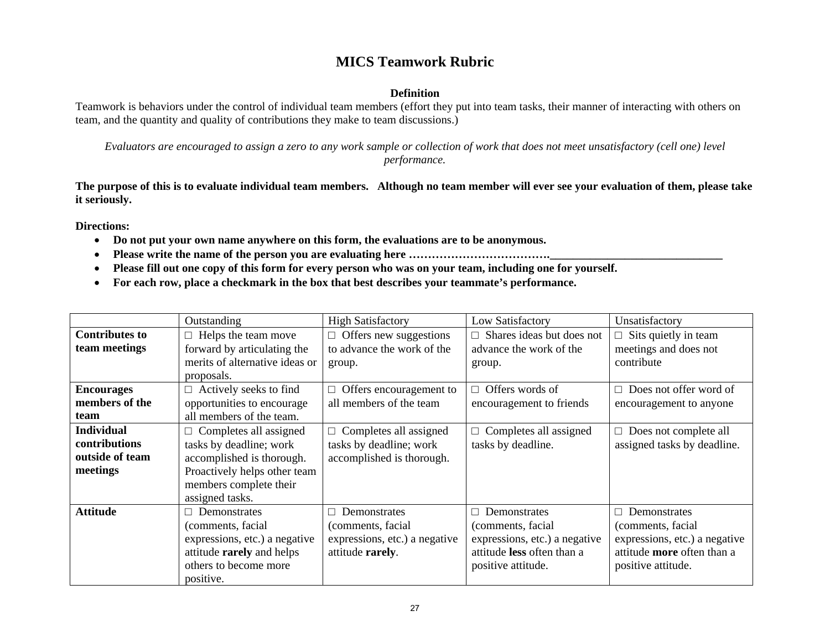# **MICS Teamwork Rubric**

#### **Definition**

Teamwork is behaviors under the control of individual team members (effort they put into team tasks, their manner of interacting with others on team, and the quantity and quality of contributions they make to team discussions.)

*Evaluators are encouraged to assign a zero to any work sample or collection of work that does not meet unsatisfactory (cell one) level performance.* 

**The purpose of this is to evaluate individual team members. Although no team member will ever see your evaluation of them, please take it seriously.** 

**Directions:** 

- **Do not put your own name anywhere on this form, the evaluations are to be anonymous.**
- **Please write the name of the person you are evaluating here ……………………………….\_\_\_\_\_\_\_\_\_\_\_\_\_\_\_\_\_\_\_\_\_\_\_\_\_\_\_\_\_\_**
- $\bullet$ **Please fill out one copy of this form for every person who was on your team, including one for yourself.**
- **For each row, place a checkmark in the box that best describes your teammate's performance.**

|                       | Outstanding                    | <b>High Satisfactory</b>       | Low Satisfactory              | Unsatisfactory                |
|-----------------------|--------------------------------|--------------------------------|-------------------------------|-------------------------------|
| <b>Contributes to</b> | $\Box$ Helps the team move     | $\Box$ Offers new suggestions  | Shares ideas but does not     | $\Box$ Sits quietly in team   |
| team meetings         | forward by articulating the    | to advance the work of the     | advance the work of the       | meetings and does not         |
|                       | merits of alternative ideas or | group.                         | group.                        | contribute                    |
|                       | proposals.                     |                                |                               |                               |
| <b>Encourages</b>     | $\Box$ Actively seeks to find  | $\Box$ Offers encouragement to | Offers words of               | $\Box$ Does not offer word of |
| members of the        | opportunities to encourage     | all members of the team        | encouragement to friends      | encouragement to anyone       |
| team                  | all members of the team.       |                                |                               |                               |
| <b>Individual</b>     | $\Box$ Completes all assigned  | $\Box$ Completes all assigned  | Completes all assigned        | $\Box$ Does not complete all  |
| <b>contributions</b>  | tasks by deadline; work        | tasks by deadline; work        | tasks by deadline.            | assigned tasks by deadline.   |
| outside of team       | accomplished is thorough.      | accomplished is thorough.      |                               |                               |
| meetings              | Proactively helps other team   |                                |                               |                               |
|                       | members complete their         |                                |                               |                               |
|                       | assigned tasks.                |                                |                               |                               |
| <b>Attitude</b>       | Demonstrates<br>П.             | Demonstrates<br>П.             | Demonstrates                  | $\Box$ Demonstrates           |
|                       | (comments, facial              | (comments, facial              | (comments, facial             | (comments, facial)            |
|                       | expressions, etc.) a negative  | expressions, etc.) a negative  | expressions, etc.) a negative | expressions, etc.) a negative |
|                       | attitude rarely and helps      | attitude rarely.               | attitude less often than a    | attitude more often than a    |
|                       | others to become more          |                                | positive attitude.            | positive attitude.            |
|                       | positive.                      |                                |                               |                               |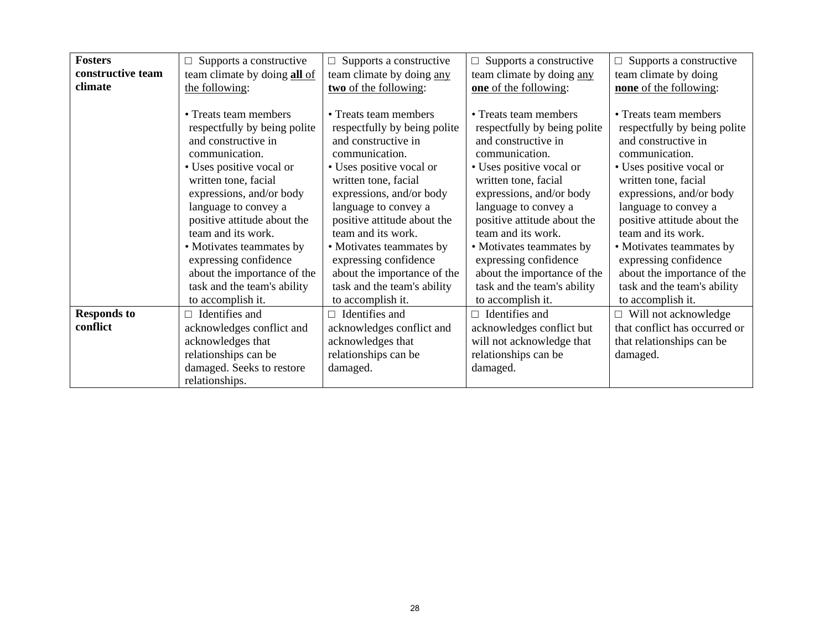| <b>Fosters</b>              | Supports a constructive                                    | Supports a constructive<br>$\Box$ | $\Box$ Supports a constructive | $\Box$ Supports a constructive |
|-----------------------------|------------------------------------------------------------|-----------------------------------|--------------------------------|--------------------------------|
| constructive team           | team climate by doing all of                               | team climate by doing any         | team climate by doing any      | team climate by doing          |
| climate                     | the following:                                             | two of the following:             | one of the following:          | none of the following:         |
|                             |                                                            |                                   |                                |                                |
|                             | • Treats team members                                      | • Treats team members             | • Treats team members          | • Treats team members          |
|                             | respectfully by being polite                               | respectfully by being polite      | respectfully by being polite   | respectfully by being polite   |
|                             | and constructive in                                        | and constructive in               | and constructive in            | and constructive in            |
|                             | communication.                                             | communication.                    | communication.                 | communication.                 |
|                             | • Uses positive vocal or                                   | • Uses positive vocal or          | • Uses positive vocal or       | • Uses positive vocal or       |
|                             | written tone, facial                                       | written tone, facial              | written tone, facial           | written tone, facial           |
| expressions, and/or body    |                                                            | expressions, and/or body          | expressions, and/or body       | expressions, and/or body       |
| language to convey a        |                                                            | language to convey a              | language to convey a           | language to convey a           |
|                             | positive attitude about the                                | positive attitude about the       | positive attitude about the    | positive attitude about the    |
|                             | team and its work.                                         | team and its work.                | team and its work.             | team and its work.             |
|                             | • Motivates teammates by                                   | • Motivates teammates by          | • Motivates teammates by       | • Motivates teammates by       |
|                             | expressing confidence                                      | expressing confidence             | expressing confidence          | expressing confidence          |
|                             | about the importance of the<br>about the importance of the |                                   | about the importance of the    | about the importance of the    |
| task and the team's ability |                                                            | task and the team's ability       | task and the team's ability    | task and the team's ability    |
| to accomplish it.           |                                                            | to accomplish it.                 | to accomplish it.              | to accomplish it.              |
| <b>Responds to</b>          | Identifies and                                             | Identifies and<br>П.              | $\Box$ Identifies and          | $\Box$ Will not acknowledge    |
| conflict                    | acknowledges conflict and                                  | acknowledges conflict and         | acknowledges conflict but      | that conflict has occurred or  |
|                             | acknowledges that                                          | acknowledges that                 | will not acknowledge that      | that relationships can be      |
|                             | relationships can be                                       | relationships can be              | relationships can be           | damaged.                       |
|                             | damaged. Seeks to restore                                  | damaged.                          | damaged.                       |                                |
|                             | relationships.                                             |                                   |                                |                                |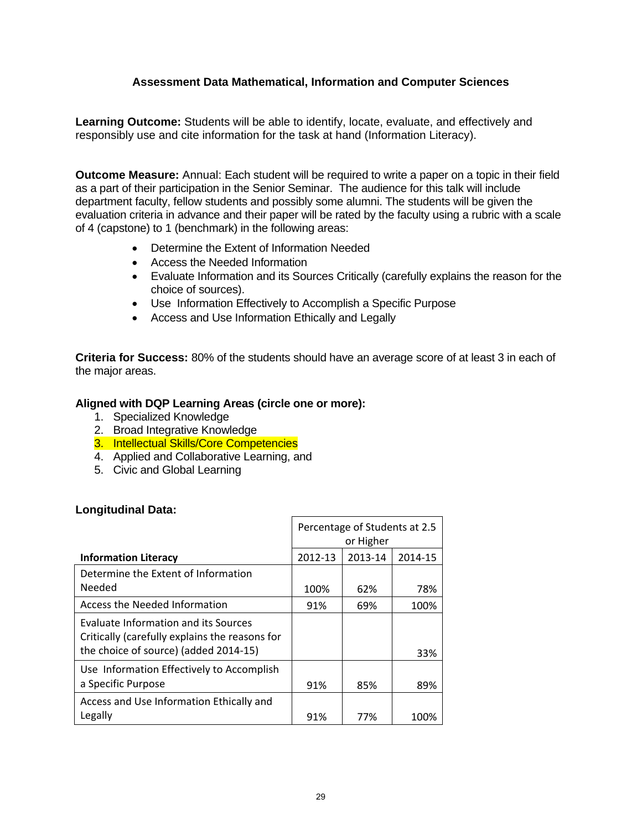# **Assessment Data Mathematical, Information and Computer Sciences**

**Learning Outcome:** Students will be able to identify, locate, evaluate, and effectively and responsibly use and cite information for the task at hand (Information Literacy).

**Outcome Measure:** Annual: Each student will be required to write a paper on a topic in their field as a part of their participation in the Senior Seminar. The audience for this talk will include department faculty, fellow students and possibly some alumni. The students will be given the evaluation criteria in advance and their paper will be rated by the faculty using a rubric with a scale of 4 (capstone) to 1 (benchmark) in the following areas:

- Determine the Extent of Information Needed
- Access the Needed Information
- Evaluate Information and its Sources Critically (carefully explains the reason for the choice of sources).
- Use Information Effectively to Accomplish a Specific Purpose
- Access and Use Information Ethically and Legally

**Criteria for Success:** 80% of the students should have an average score of at least 3 in each of the major areas.

### **Aligned with DQP Learning Areas (circle one or more):**

- 1. Specialized Knowledge
- 2. Broad Integrative Knowledge
- 3. Intellectual Skills/Core Competencies
- 4. Applied and Collaborative Learning, and
- 5. Civic and Global Learning

#### **Longitudinal Data:**

|                                                                                                                                 | Percentage of Students at 2.5<br>or Higher |         |         |  |
|---------------------------------------------------------------------------------------------------------------------------------|--------------------------------------------|---------|---------|--|
| <b>Information Literacy</b>                                                                                                     | 2012-13                                    | 2013-14 | 2014-15 |  |
| Determine the Extent of Information                                                                                             |                                            |         |         |  |
| Needed                                                                                                                          | 100%                                       | 62%     | 78%     |  |
| Access the Needed Information                                                                                                   | 91%                                        | 69%     | 100%    |  |
| Evaluate Information and its Sources<br>Critically (carefully explains the reasons for<br>the choice of source) (added 2014-15) |                                            |         | 33%     |  |
| Use Information Effectively to Accomplish<br>a Specific Purpose                                                                 | 91%                                        | 85%     | 89%     |  |
| Access and Use Information Ethically and<br>Legally                                                                             | 91%                                        | 77%     | 100%    |  |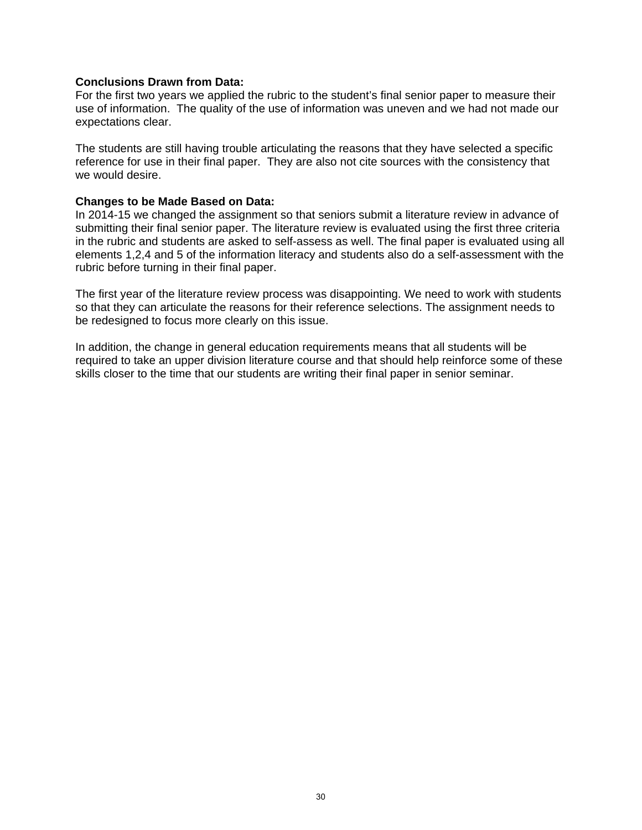#### **Conclusions Drawn from Data:**

For the first two years we applied the rubric to the student's final senior paper to measure their use of information. The quality of the use of information was uneven and we had not made our expectations clear.

The students are still having trouble articulating the reasons that they have selected a specific reference for use in their final paper. They are also not cite sources with the consistency that we would desire.

#### **Changes to be Made Based on Data:**

In 2014-15 we changed the assignment so that seniors submit a literature review in advance of submitting their final senior paper. The literature review is evaluated using the first three criteria in the rubric and students are asked to self-assess as well. The final paper is evaluated using all elements 1,2,4 and 5 of the information literacy and students also do a self-assessment with the rubric before turning in their final paper.

The first year of the literature review process was disappointing. We need to work with students so that they can articulate the reasons for their reference selections. The assignment needs to be redesigned to focus more clearly on this issue.

In addition, the change in general education requirements means that all students will be required to take an upper division literature course and that should help reinforce some of these skills closer to the time that our students are writing their final paper in senior seminar.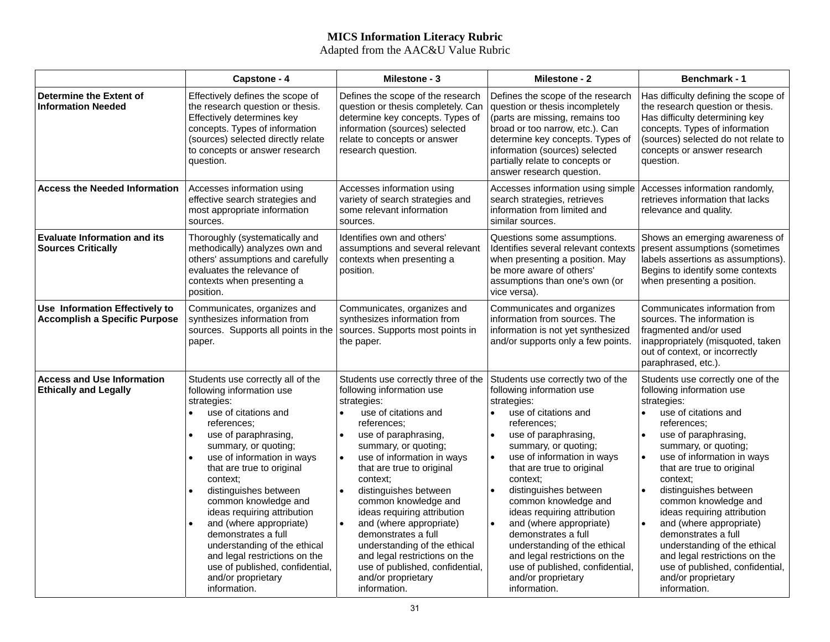# **MICS Information Literacy Rubric**

Adapted from the AAC&U Value Rubric

|                                                                        | Capstone - 4                                                                                                                                                                                                                                                                                                                                                                                                                                                                                                            | Milestone - 3                                                                                                                                                                                                                                                                                                                                                                                                                                                                                                                                                    | Milestone - 2                                                                                                                                                                                                                                                                                                                                                                                                                                                                                                                                                  | <b>Benchmark - 1</b>                                                                                                                                                                                                                                                                                                                                                                                                                                                                                                                                                                     |
|------------------------------------------------------------------------|-------------------------------------------------------------------------------------------------------------------------------------------------------------------------------------------------------------------------------------------------------------------------------------------------------------------------------------------------------------------------------------------------------------------------------------------------------------------------------------------------------------------------|------------------------------------------------------------------------------------------------------------------------------------------------------------------------------------------------------------------------------------------------------------------------------------------------------------------------------------------------------------------------------------------------------------------------------------------------------------------------------------------------------------------------------------------------------------------|----------------------------------------------------------------------------------------------------------------------------------------------------------------------------------------------------------------------------------------------------------------------------------------------------------------------------------------------------------------------------------------------------------------------------------------------------------------------------------------------------------------------------------------------------------------|------------------------------------------------------------------------------------------------------------------------------------------------------------------------------------------------------------------------------------------------------------------------------------------------------------------------------------------------------------------------------------------------------------------------------------------------------------------------------------------------------------------------------------------------------------------------------------------|
| Determine the Extent of<br><b>Information Needed</b>                   | Effectively defines the scope of<br>the research question or thesis.<br>Effectively determines key<br>concepts. Types of information<br>(sources) selected directly relate<br>to concepts or answer research<br>question.                                                                                                                                                                                                                                                                                               | Defines the scope of the research<br>question or thesis completely. Can<br>determine key concepts. Types of<br>information (sources) selected<br>relate to concepts or answer<br>research question.                                                                                                                                                                                                                                                                                                                                                              | Defines the scope of the research<br>question or thesis incompletely<br>(parts are missing, remains too<br>broad or too narrow, etc.). Can<br>determine key concepts. Types of<br>information (sources) selected<br>partially relate to concepts or<br>answer research question.                                                                                                                                                                                                                                                                               | Has difficulty defining the scope of<br>the research question or thesis.<br>Has difficulty determining key<br>concepts. Types of information<br>(sources) selected do not relate to<br>concepts or answer research<br>question.                                                                                                                                                                                                                                                                                                                                                          |
| <b>Access the Needed Information</b>                                   | Accesses information using<br>effective search strategies and<br>most appropriate information<br>sources.                                                                                                                                                                                                                                                                                                                                                                                                               | Accesses information using<br>variety of search strategies and<br>some relevant information<br>sources.                                                                                                                                                                                                                                                                                                                                                                                                                                                          | Accesses information using simple<br>search strategies, retrieves<br>information from limited and<br>similar sources.                                                                                                                                                                                                                                                                                                                                                                                                                                          | Accesses information randomly,<br>retrieves information that lacks<br>relevance and quality.                                                                                                                                                                                                                                                                                                                                                                                                                                                                                             |
| <b>Evaluate Information and its</b><br><b>Sources Critically</b>       | Thoroughly (systematically and<br>methodically) analyzes own and<br>others' assumptions and carefully<br>evaluates the relevance of<br>contexts when presenting a<br>position.                                                                                                                                                                                                                                                                                                                                          | Identifies own and others'<br>assumptions and several relevant<br>contexts when presenting a<br>position.                                                                                                                                                                                                                                                                                                                                                                                                                                                        | Questions some assumptions.<br>Identifies several relevant contexts<br>when presenting a position. May<br>be more aware of others'<br>assumptions than one's own (or<br>vice versa).                                                                                                                                                                                                                                                                                                                                                                           | Shows an emerging awareness of<br>present assumptions (sometimes<br>labels assertions as assumptions).<br>Begins to identify some contexts<br>when presenting a position.                                                                                                                                                                                                                                                                                                                                                                                                                |
| Use Information Effectively to<br><b>Accomplish a Specific Purpose</b> | Communicates, organizes and<br>synthesizes information from<br>sources. Supports all points in the<br>paper.                                                                                                                                                                                                                                                                                                                                                                                                            | Communicates, organizes and<br>synthesizes information from<br>sources. Supports most points in<br>the paper.                                                                                                                                                                                                                                                                                                                                                                                                                                                    | Communicates and organizes<br>information from sources. The<br>information is not yet synthesized<br>and/or supports only a few points.                                                                                                                                                                                                                                                                                                                                                                                                                        | Communicates information from<br>sources. The information is<br>fragmented and/or used<br>inappropriately (misquoted, taken<br>out of context, or incorrectly<br>paraphrased, etc.).                                                                                                                                                                                                                                                                                                                                                                                                     |
| <b>Access and Use Information</b><br><b>Ethically and Legally</b>      | Students use correctly all of the<br>following information use<br>strategies:<br>use of citations and<br>references:<br>use of paraphrasing,<br>summary, or quoting;<br>use of information in ways<br>that are true to original<br>context:<br>distinguishes between<br>common knowledge and<br>ideas requiring attribution<br>and (where appropriate)<br>demonstrates a full<br>understanding of the ethical<br>and legal restrictions on the<br>use of published, confidential,<br>and/or proprietary<br>information. | Students use correctly three of the<br>following information use<br>strategies:<br>use of citations and<br>references:<br>use of paraphrasing,<br>summary, or quoting;<br>use of information in ways<br>$\bullet$<br>that are true to original<br>context:<br>distinguishes between<br>$\bullet$<br>common knowledge and<br>ideas requiring attribution<br>and (where appropriate)<br>$\bullet$<br>demonstrates a full<br>understanding of the ethical<br>and legal restrictions on the<br>use of published, confidential,<br>and/or proprietary<br>information. | Students use correctly two of the<br>following information use<br>strategies:<br>use of citations and<br>$\bullet$<br>references:<br>use of paraphrasing,<br>summary, or quoting;<br>use of information in ways<br>that are true to original<br>context:<br>distinguishes between<br>$\bullet$<br>common knowledge and<br>ideas requiring attribution<br>and (where appropriate)<br>$\bullet$<br>demonstrates a full<br>understanding of the ethical<br>and legal restrictions on the<br>use of published, confidential,<br>and/or proprietary<br>information. | Students use correctly one of the<br>following information use<br>strategies:<br>use of citations and<br>$\bullet$<br>references:<br>use of paraphrasing,<br>$\bullet$<br>summary, or quoting;<br>use of information in ways<br>$\bullet$<br>that are true to original<br>context:<br>distinguishes between<br>$\bullet$<br>common knowledge and<br>ideas requiring attribution<br>and (where appropriate)<br>$\bullet$<br>demonstrates a full<br>understanding of the ethical<br>and legal restrictions on the<br>use of published, confidential,<br>and/or proprietary<br>information. |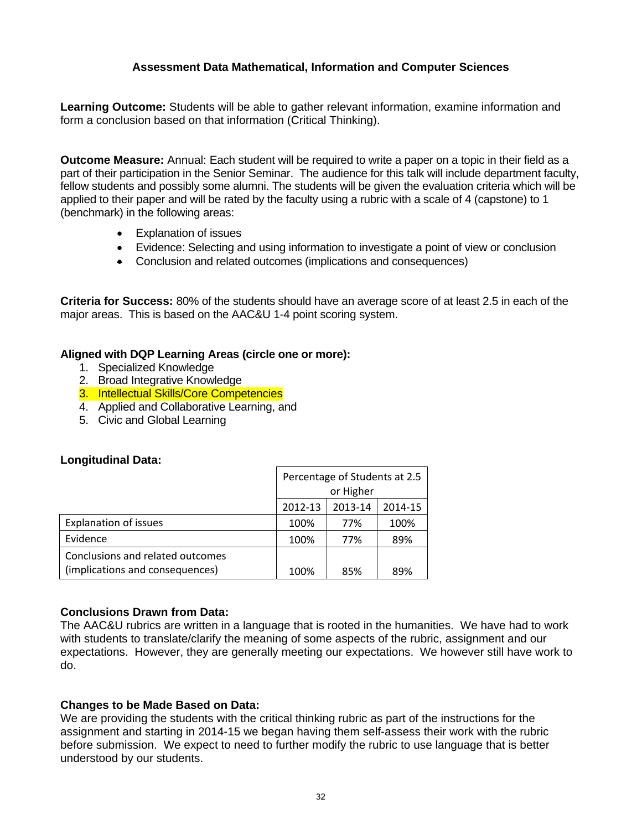# **Assessment Data Mathematical, Information and Computer Sciences**

**Learning Outcome:** Students will be able to gather relevant information, examine information and form a conclusion based on that information (Critical Thinking).

**Outcome Measure:** Annual: Each student will be required to write a paper on a topic in their field as a part of their participation in the Senior Seminar. The audience for this talk will include department faculty, fellow students and possibly some alumni. The students will be given the evaluation criteria which will be applied to their paper and will be rated by the faculty using a rubric with a scale of 4 (capstone) to 1 (benchmark) in the following areas:

- Explanation of issues
- Evidence: Selecting and using information to investigate a point of view or conclusion
- Conclusion and related outcomes (implications and consequences)

**Criteria for Success:** 80% of the students should have an average score of at least 2.5 in each of the major areas. This is based on the AAC&U 1-4 point scoring system.

### **Aligned with DQP Learning Areas (circle one or more):**

- 1. Specialized Knowledge
- 2. Broad Integrative Knowledge
- 3. Intellectual Skills/Core Competencies
- 4. Applied and Collaborative Learning, and
- 5. Civic and Global Learning

# **Longitudinal Data:**

|                                  | Percentage of Students at 2.5 |         |         |  |
|----------------------------------|-------------------------------|---------|---------|--|
|                                  | or Higher                     |         |         |  |
|                                  | 2012-13                       | 2013-14 | 2014-15 |  |
| <b>Explanation of issues</b>     | 100%                          | 77%     | 100%    |  |
| Evidence                         | 100%                          | 77%     | 89%     |  |
| Conclusions and related outcomes |                               |         |         |  |
| (implications and consequences)  | 100%<br>89%<br>85%            |         |         |  |

# **Conclusions Drawn from Data:**

The AAC&U rubrics are written in a language that is rooted in the humanities. We have had to work with students to translate/clarify the meaning of some aspects of the rubric, assignment and our expectations. However, they are generally meeting our expectations. We however still have work to do.

# **Changes to be Made Based on Data:**

We are providing the students with the critical thinking rubric as part of the instructions for the assignment and starting in 2014-15 we began having them self-assess their work with the rubric before submission. We expect to need to further modify the rubric to use language that is better understood by our students.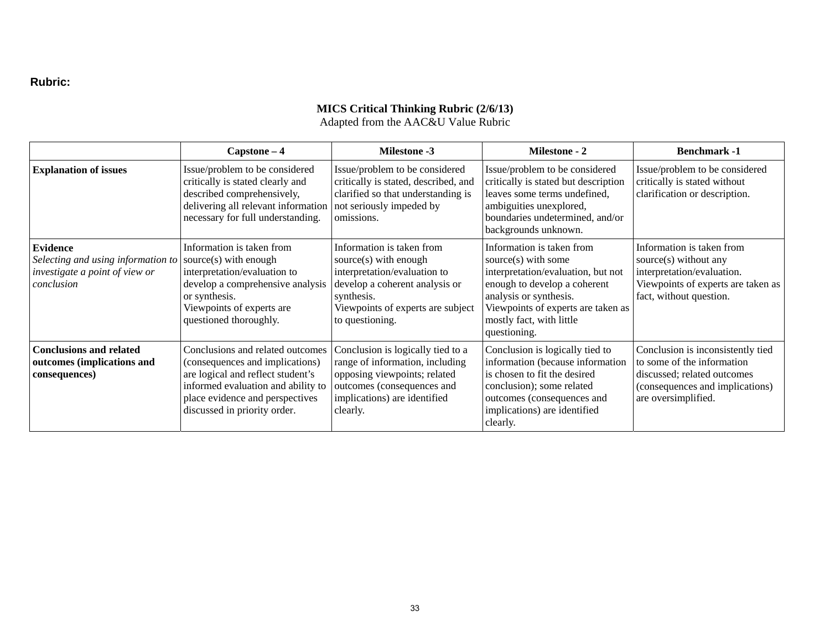#### **Rubric:**

#### **MICS Critical Thinking Rubric (2/6/13)**

Adapted from the AAC&U Value Rubric

|                                                                                                       | $Capstone-4$                                                                                                                                                                                                      | <b>Milestone -3</b>                                                                                                                                                                        | Milestone - 2                                                                                                                                                                                                                      | <b>Benchmark-1</b>                                                                                                                                       |
|-------------------------------------------------------------------------------------------------------|-------------------------------------------------------------------------------------------------------------------------------------------------------------------------------------------------------------------|--------------------------------------------------------------------------------------------------------------------------------------------------------------------------------------------|------------------------------------------------------------------------------------------------------------------------------------------------------------------------------------------------------------------------------------|----------------------------------------------------------------------------------------------------------------------------------------------------------|
| <b>Explanation of issues</b>                                                                          | Issue/problem to be considered<br>critically is stated clearly and<br>described comprehensively,<br>delivering all relevant information<br>necessary for full understanding.                                      | Issue/problem to be considered<br>critically is stated, described, and<br>clarified so that understanding is<br>not seriously impeded by<br>omissions.                                     | Issue/problem to be considered<br>critically is stated but description<br>leaves some terms undefined,<br>ambiguities unexplored,<br>boundaries undetermined, and/or<br>backgrounds unknown.                                       | Issue/problem to be considered<br>critically is stated without<br>clarification or description.                                                          |
| <b>Evidence</b><br>Selecting and using information to<br>investigate a point of view or<br>conclusion | Information is taken from<br>source(s) with enough<br>interpretation/evaluation to<br>develop a comprehensive analysis<br>or synthesis.<br>Viewpoints of experts are<br>questioned thoroughly.                    | Information is taken from<br>source(s) with enough<br>interpretation/evaluation to<br>develop a coherent analysis or<br>synthesis.<br>Viewpoints of experts are subject<br>to questioning. | Information is taken from<br>source(s) with some<br>interpretation/evaluation, but not<br>enough to develop a coherent<br>analysis or synthesis.<br>Viewpoints of experts are taken as<br>mostly fact, with little<br>questioning. | Information is taken from<br>source(s) without any<br>interpretation/evaluation.<br>Viewpoints of experts are taken as<br>fact, without question.        |
| <b>Conclusions and related</b><br>outcomes (implications and<br>consequences)                         | Conclusions and related outcomes<br>(consequences and implications)<br>are logical and reflect student's<br>informed evaluation and ability to<br>place evidence and perspectives<br>discussed in priority order. | Conclusion is logically tied to a<br>range of information, including<br>opposing viewpoints; related<br>outcomes (consequences and<br>implications) are identified<br>clearly.             | Conclusion is logically tied to<br>information (because information<br>is chosen to fit the desired<br>conclusion); some related<br>outcomes (consequences and<br>implications) are identified<br>clearly.                         | Conclusion is inconsistently tied<br>to some of the information<br>discussed; related outcomes<br>(consequences and implications)<br>are oversimplified. |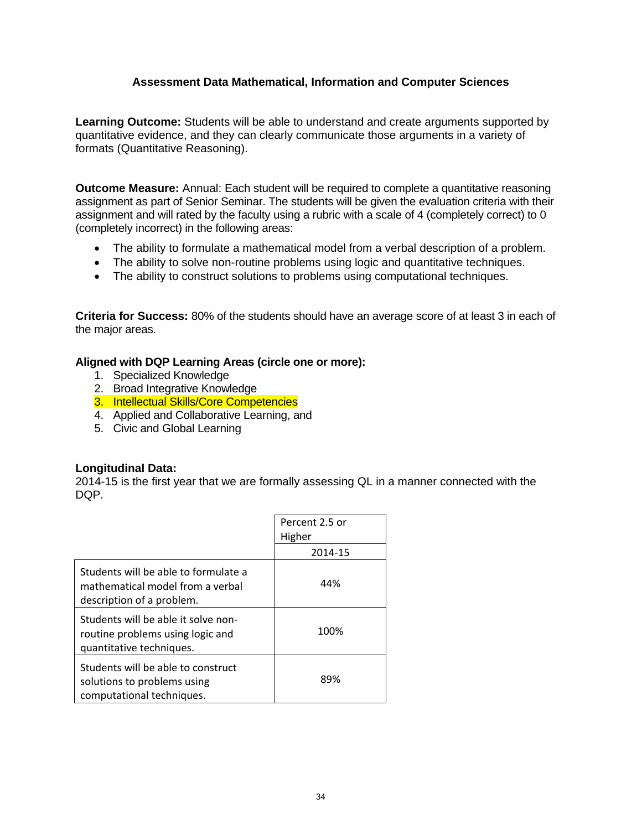# **Assessment Data Mathematical, Information and Computer Sciences**

**Learning Outcome:** Students will be able to understand and create arguments supported by quantitative evidence, and they can clearly communicate those arguments in a variety of formats (Quantitative Reasoning).

**Outcome Measure:** Annual: Each student will be required to complete a quantitative reasoning assignment as part of Senior Seminar. The students will be given the evaluation criteria with their assignment and will rated by the faculty using a rubric with a scale of 4 (completely correct) to 0 (completely incorrect) in the following areas:

- The ability to formulate a mathematical model from a verbal description of a problem.
- The ability to solve non-routine problems using logic and quantitative techniques.
- The ability to construct solutions to problems using computational techniques.

**Criteria for Success:** 80% of the students should have an average score of at least 3 in each of the major areas.

#### **Aligned with DQP Learning Areas (circle one or more):**

- 1. Specialized Knowledge
- 2. Broad Integrative Knowledge
- 3. Intellectual Skills/Core Competencies
- 4. Applied and Collaborative Learning, and
- 5. Civic and Global Learning

#### **Longitudinal Data:**

2014-15 is the first year that we are formally assessing QL in a manner connected with the DQP.

|                                                                                                       | Percent 2.5 or |
|-------------------------------------------------------------------------------------------------------|----------------|
|                                                                                                       | Higher         |
|                                                                                                       | 2014-15        |
| Students will be able to formulate a<br>mathematical model from a verbal<br>description of a problem. | 44%            |
| Students will be able it solve non-<br>routine problems using logic and<br>quantitative techniques.   | 100%           |
| Students will be able to construct<br>solutions to problems using<br>computational techniques.        | 89%            |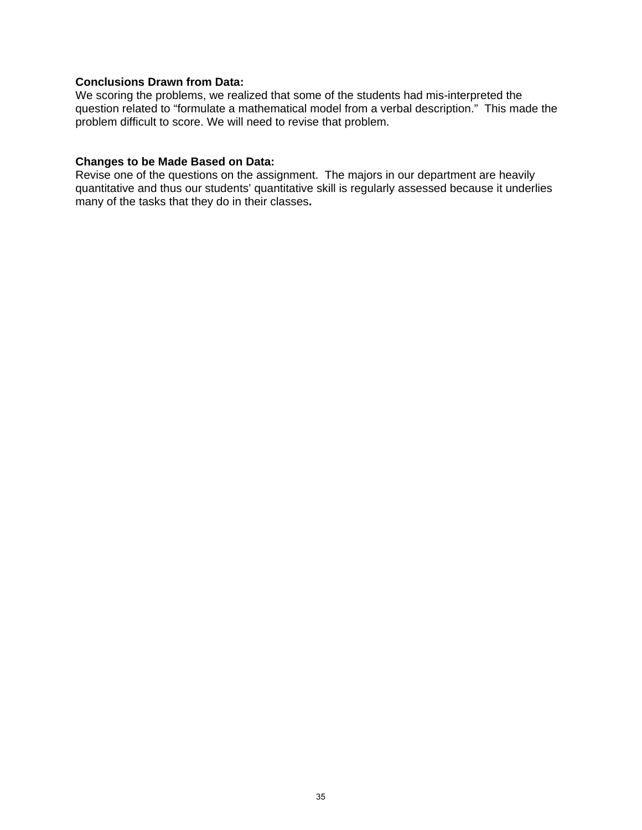#### **Conclusions Drawn from Data:**

We scoring the problems, we realized that some of the students had mis-interpreted the question related to "formulate a mathematical model from a verbal description." This made the problem difficult to score. We will need to revise that problem.

# **Changes to be Made Based on Data:**

Revise one of the questions on the assignment. The majors in our department are heavily quantitative and thus our students' quantitative skill is regularly assessed because it underlies many of the tasks that they do in their classes**.**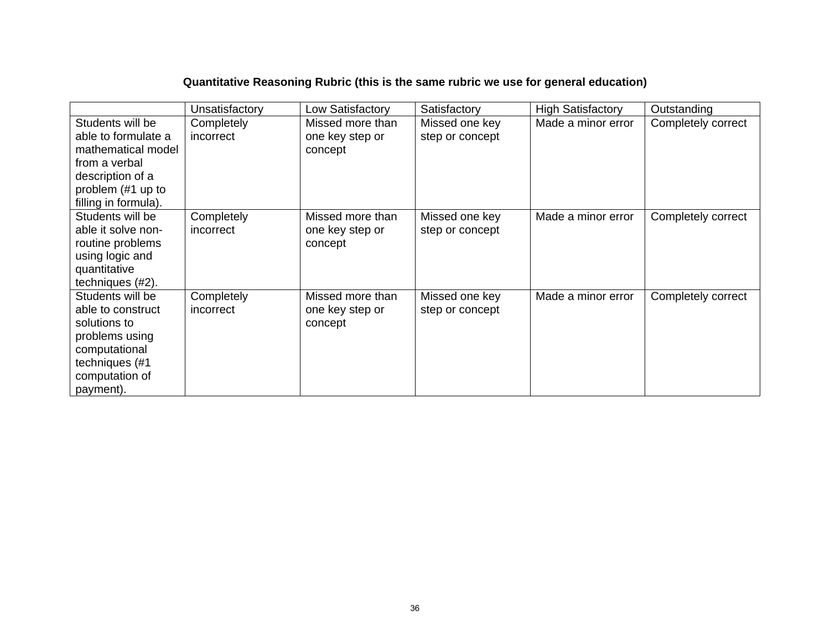# **Quantitative Reasoning Rubric (this is the same rubric we use for general education)**

|                      | Unsatisfactory | Low Satisfactory | Satisfactory    | <b>High Satisfactory</b> | Outstanding        |
|----------------------|----------------|------------------|-----------------|--------------------------|--------------------|
| Students will be     | Completely     | Missed more than | Missed one key  | Made a minor error       | Completely correct |
| able to formulate a  | incorrect      | one key step or  | step or concept |                          |                    |
| mathematical model   |                | concept          |                 |                          |                    |
| from a verbal        |                |                  |                 |                          |                    |
| description of a     |                |                  |                 |                          |                    |
| problem (#1 up to    |                |                  |                 |                          |                    |
| filling in formula). |                |                  |                 |                          |                    |
| Students will be     | Completely     | Missed more than | Missed one key  | Made a minor error       | Completely correct |
| able it solve non-   | incorrect      | one key step or  | step or concept |                          |                    |
| routine problems     |                | concept          |                 |                          |                    |
| using logic and      |                |                  |                 |                          |                    |
| quantitative         |                |                  |                 |                          |                    |
| techniques (#2).     |                |                  |                 |                          |                    |
| Students will be     | Completely     | Missed more than | Missed one key  | Made a minor error       | Completely correct |
| able to construct    | incorrect      | one key step or  | step or concept |                          |                    |
| solutions to         |                | concept          |                 |                          |                    |
| problems using       |                |                  |                 |                          |                    |
| computational        |                |                  |                 |                          |                    |
| techniques (#1       |                |                  |                 |                          |                    |
| computation of       |                |                  |                 |                          |                    |
| payment).            |                |                  |                 |                          |                    |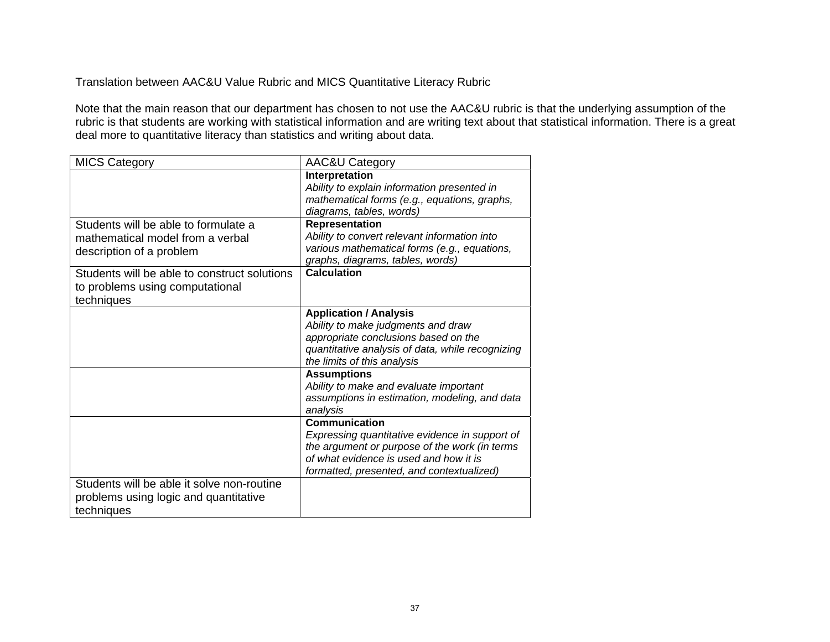Translation between AAC&U Value Rubric and MICS Quantitative Literacy Rubric

Note that the main reason that our department has chosen to not use the AAC&U rubric is that the underlying assumption of the rubric is that students are working with statistical information and are writing text about that statistical information. There is a great deal more to quantitative literacy than statistics and writing about data.

| <b>MICS Category</b>                                                                                 | AAC&U Category                                                                                                                                                                                          |
|------------------------------------------------------------------------------------------------------|---------------------------------------------------------------------------------------------------------------------------------------------------------------------------------------------------------|
|                                                                                                      | Interpretation<br>Ability to explain information presented in<br>mathematical forms (e.g., equations, graphs,<br>diagrams, tables, words)                                                               |
| Students will be able to formulate a<br>mathematical model from a verbal<br>description of a problem | <b>Representation</b><br>Ability to convert relevant information into<br>various mathematical forms (e.g., equations,<br>graphs, diagrams, tables, words)                                               |
| Students will be able to construct solutions<br>to problems using computational<br>techniques        | <b>Calculation</b>                                                                                                                                                                                      |
|                                                                                                      | <b>Application / Analysis</b><br>Ability to make judgments and draw<br>appropriate conclusions based on the<br>quantitative analysis of data, while recognizing<br>the limits of this analysis          |
|                                                                                                      | <b>Assumptions</b><br>Ability to make and evaluate important<br>assumptions in estimation, modeling, and data<br>analysis                                                                               |
|                                                                                                      | Communication<br>Expressing quantitative evidence in support of<br>the argument or purpose of the work (in terms<br>of what evidence is used and how it is<br>formatted, presented, and contextualized) |
| Students will be able it solve non-routine<br>problems using logic and quantitative<br>techniques    |                                                                                                                                                                                                         |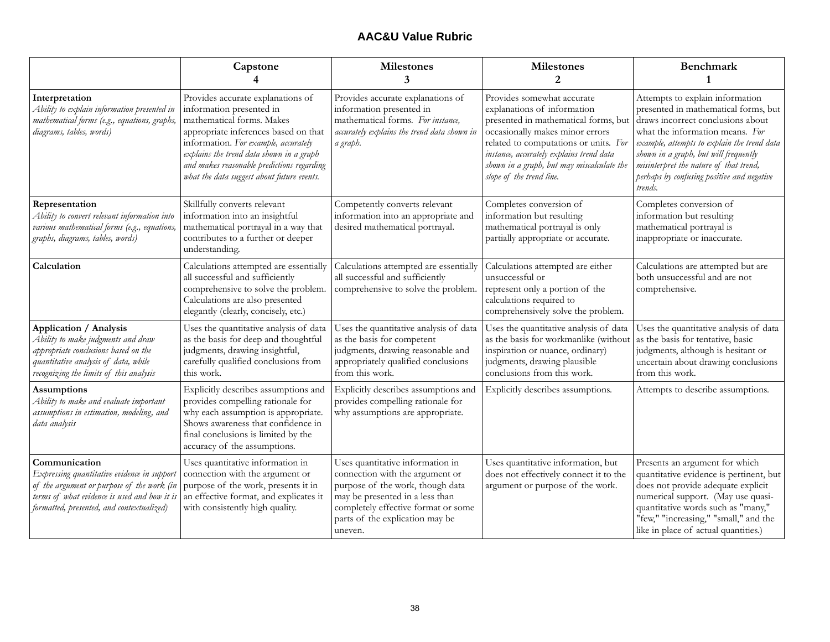# **AAC&U Value Rubric**

|                                                                                                                                                                                                         | Capstone                                                                                                                                                                                                                                                                                                           | <b>Milestones</b><br>3                                                                                                                                                                                                          | <b>Milestones</b><br>2                                                                                                                                                                                                                                                                              | <b>Benchmark</b><br>$\mathbf{1}$                                                                                                                                                                                                                                                                                                           |
|---------------------------------------------------------------------------------------------------------------------------------------------------------------------------------------------------------|--------------------------------------------------------------------------------------------------------------------------------------------------------------------------------------------------------------------------------------------------------------------------------------------------------------------|---------------------------------------------------------------------------------------------------------------------------------------------------------------------------------------------------------------------------------|-----------------------------------------------------------------------------------------------------------------------------------------------------------------------------------------------------------------------------------------------------------------------------------------------------|--------------------------------------------------------------------------------------------------------------------------------------------------------------------------------------------------------------------------------------------------------------------------------------------------------------------------------------------|
| Interpretation<br>Ability to explain information presented in<br>mathematical forms (e.g., equations, graphs,<br>diagrams, tables, words)                                                               | Provides accurate explanations of<br>information presented in<br>mathematical forms. Makes<br>appropriate inferences based on that<br>information. For example, accurately<br>explains the trend data shown in a graph<br>and makes reasonable predictions regarding<br>what the data suggest about future events. | Provides accurate explanations of<br>information presented in<br>mathematical forms. For instance,<br>accurately explains the trend data shown in<br>a graph.                                                                   | Provides somewhat accurate<br>explanations of information<br>presented in mathematical forms, but<br>occasionally makes minor errors<br>related to computations or units. For<br>instance, accurately explains trend data<br>shown in a graph, but may miscalculate the<br>slope of the trend line. | Attempts to explain information<br>presented in mathematical forms, but<br>draws incorrect conclusions about<br>what the information means. For<br>example, attempts to explain the trend data<br>shown in a graph, but will frequently<br>misinterpret the nature of that trend,<br>perhaps by confusing positive and negative<br>trends. |
| Representation<br>Ability to convert relevant information into<br>various mathematical forms (e.g., equations,<br>graphs, diagrams, tables, words)                                                      | Skillfully converts relevant<br>information into an insightful<br>mathematical portrayal in a way that<br>contributes to a further or deeper<br>understanding.                                                                                                                                                     | Competently converts relevant<br>information into an appropriate and<br>desired mathematical portrayal.                                                                                                                         | Completes conversion of<br>information but resulting<br>mathematical portrayal is only<br>partially appropriate or accurate.                                                                                                                                                                        | Completes conversion of<br>information but resulting<br>mathematical portrayal is<br>inappropriate or inaccurate.                                                                                                                                                                                                                          |
| Calculation                                                                                                                                                                                             | Calculations attempted are essentially<br>all successful and sufficiently<br>comprehensive to solve the problem.<br>Calculations are also presented<br>elegantly (clearly, concisely, etc.)                                                                                                                        | Calculations attempted are essentially<br>all successful and sufficiently<br>comprehensive to solve the problem.                                                                                                                | Calculations attempted are either<br>unsuccessful or<br>represent only a portion of the<br>calculations required to<br>comprehensively solve the problem.                                                                                                                                           | Calculations are attempted but are<br>both unsuccessful and are not<br>comprehensive.                                                                                                                                                                                                                                                      |
| Application / Analysis<br>Ability to make judgments and draw<br>appropriate conclusions based on the<br>quantitative analysis of data, while<br>recognizing the limits of this analysis                 | Uses the quantitative analysis of data<br>as the basis for deep and thoughtful<br>judgments, drawing insightful,<br>carefully qualified conclusions from<br>this work.                                                                                                                                             | Uses the quantitative analysis of data<br>as the basis for competent<br>judgments, drawing reasonable and<br>appropriately qualified conclusions<br>from this work.                                                             | Uses the quantitative analysis of data<br>as the basis for workmanlike (without<br>inspiration or nuance, ordinary)<br>judgments, drawing plausible<br>conclusions from this work.                                                                                                                  | Uses the quantitative analysis of data<br>as the basis for tentative, basic<br>judgments, although is hesitant or<br>uncertain about drawing conclusions<br>from this work.                                                                                                                                                                |
| <b>Assumptions</b><br>Ability to make and evaluate important<br>assumptions in estimation, modeling, and<br>data analysis                                                                               | Explicitly describes assumptions and<br>provides compelling rationale for<br>why each assumption is appropriate.<br>Shows awareness that confidence in<br>final conclusions is limited by the<br>accuracy of the assumptions.                                                                                      | Explicitly describes assumptions and<br>provides compelling rationale for<br>why assumptions are appropriate.                                                                                                                   | Explicitly describes assumptions.                                                                                                                                                                                                                                                                   | Attempts to describe assumptions.                                                                                                                                                                                                                                                                                                          |
| Communication<br>Expressing quantitative evidence in support<br>of the argument or purpose of the work (in<br>terms of what evidence is used and how it is<br>formatted, presented, and contextualized) | Uses quantitative information in<br>connection with the argument or<br>purpose of the work, presents it in<br>an effective format, and explicates it<br>with consistently high quality.                                                                                                                            | Uses quantitative information in<br>connection with the argument or<br>purpose of the work, though data<br>may be presented in a less than<br>completely effective format or some<br>parts of the explication may be<br>uneven. | Uses quantitative information, but<br>does not effectively connect it to the<br>argument or purpose of the work.                                                                                                                                                                                    | Presents an argument for which<br>quantitative evidence is pertinent, but<br>does not provide adequate explicit<br>numerical support. (May use quasi-<br>quantitative words such as "many,"<br>"few," "increasing," "small," and the<br>like in place of actual quantities.)                                                               |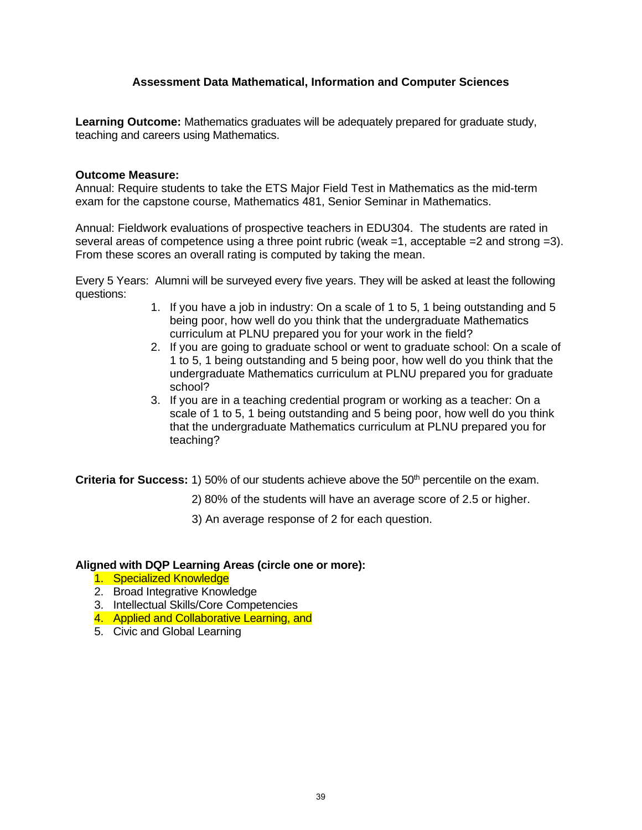# **Assessment Data Mathematical, Information and Computer Sciences**

**Learning Outcome:** Mathematics graduates will be adequately prepared for graduate study, teaching and careers using Mathematics.

#### **Outcome Measure:**

Annual: Require students to take the ETS Major Field Test in Mathematics as the mid-term exam for the capstone course, Mathematics 481, Senior Seminar in Mathematics.

Annual: Fieldwork evaluations of prospective teachers in EDU304. The students are rated in several areas of competence using a three point rubric (weak =1, acceptable =2 and strong =3). From these scores an overall rating is computed by taking the mean.

Every 5 Years: Alumni will be surveyed every five years. They will be asked at least the following questions:

- 1. If you have a job in industry: On a scale of 1 to 5, 1 being outstanding and 5 being poor, how well do you think that the undergraduate Mathematics curriculum at PLNU prepared you for your work in the field?
- 2. If you are going to graduate school or went to graduate school: On a scale of 1 to 5, 1 being outstanding and 5 being poor, how well do you think that the undergraduate Mathematics curriculum at PLNU prepared you for graduate school?
- 3. If you are in a teaching credential program or working as a teacher: On a scale of 1 to 5, 1 being outstanding and 5 being poor, how well do you think that the undergraduate Mathematics curriculum at PLNU prepared you for teaching?

**Criteria for Success:** 1) 50% of our students achieve above the 50<sup>th</sup> percentile on the exam.

- 2) 80% of the students will have an average score of 2.5 or higher.
- 3) An average response of 2 for each question.

#### **Aligned with DQP Learning Areas (circle one or more):**

- 1. Specialized Knowledge
- 2. Broad Integrative Knowledge
- 3. Intellectual Skills/Core Competencies
- 4. Applied and Collaborative Learning, and
- 5. Civic and Global Learning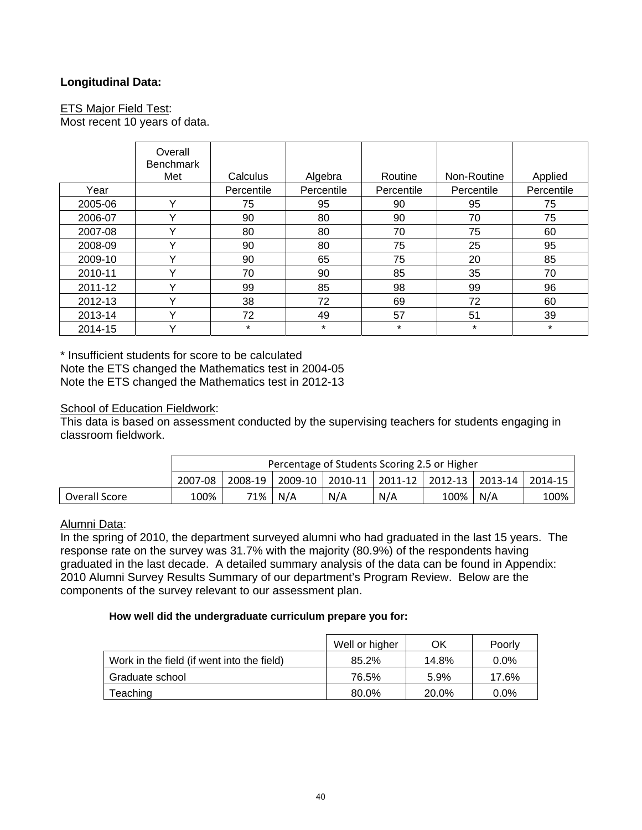# **Longitudinal Data:**

## ETS Major Field Test:

Most recent 10 years of data.

|         | Overall<br><b>Benchmark</b> |            |            |            |             |            |
|---------|-----------------------------|------------|------------|------------|-------------|------------|
|         | Met                         | Calculus   | Algebra    | Routine    | Non-Routine | Applied    |
| Year    |                             | Percentile | Percentile | Percentile | Percentile  | Percentile |
| 2005-06 | Y                           | 75         | 95         | 90         | 95          | 75         |
| 2006-07 | v                           | 90         | 80         | 90         | 70          | 75         |
| 2007-08 | v                           | 80         | 80         | 70         | 75          | 60         |
| 2008-09 | Y                           | 90         | 80         | 75         | 25          | 95         |
| 2009-10 | v                           | 90         | 65         | 75         | 20          | 85         |
| 2010-11 | v                           | 70         | 90         | 85         | 35          | 70         |
| 2011-12 | v                           | 99         | 85         | 98         | 99          | 96         |
| 2012-13 | v                           | 38         | 72         | 69         | 72          | 60         |
| 2013-14 | v                           | 72         | 49         | 57         | 51          | 39         |
| 2014-15 | v                           | $\star$    | $\star$    | *          | $\star$     | $\star$    |

\* Insufficient students for score to be calculated Note the ETS changed the Mathematics test in 2004-05 Note the ETS changed the Mathematics test in 2012-13

### School of Education Fieldwork:

This data is based on assessment conducted by the supervising teachers for students engaging in classroom fieldwork.

|               | Percentage of Students Scoring 2.5 or Higher |       |     |     |     |      |                                                                     |      |
|---------------|----------------------------------------------|-------|-----|-----|-----|------|---------------------------------------------------------------------|------|
|               | 2007-08                                      |       |     |     |     |      | 2008-19   2009-10   2010-11   2011-12   2012-13   2013-14   2014-15 |      |
| Overall Score | 100%                                         | 71% i | N/A | N/A | N/A | 100% | N/A                                                                 | 100% |

# Alumni Data:

In the spring of 2010, the department surveyed alumni who had graduated in the last 15 years. The response rate on the survey was 31.7% with the majority (80.9%) of the respondents having graduated in the last decade. A detailed summary analysis of the data can be found in Appendix: 2010 Alumni Survey Results Summary of our department's Program Review. Below are the components of the survey relevant to our assessment plan.

#### **How well did the undergraduate curriculum prepare you for:**

|                                            | Well or higher | ΟK    | Poorly  |
|--------------------------------------------|----------------|-------|---------|
| Work in the field (if went into the field) | 85.2%          | 14.8% | $0.0\%$ |
| Graduate school                            | 76.5%          | 5.9%  | 17.6%   |
| Teaching                                   | 80.0%          | 20.0% | $0.0\%$ |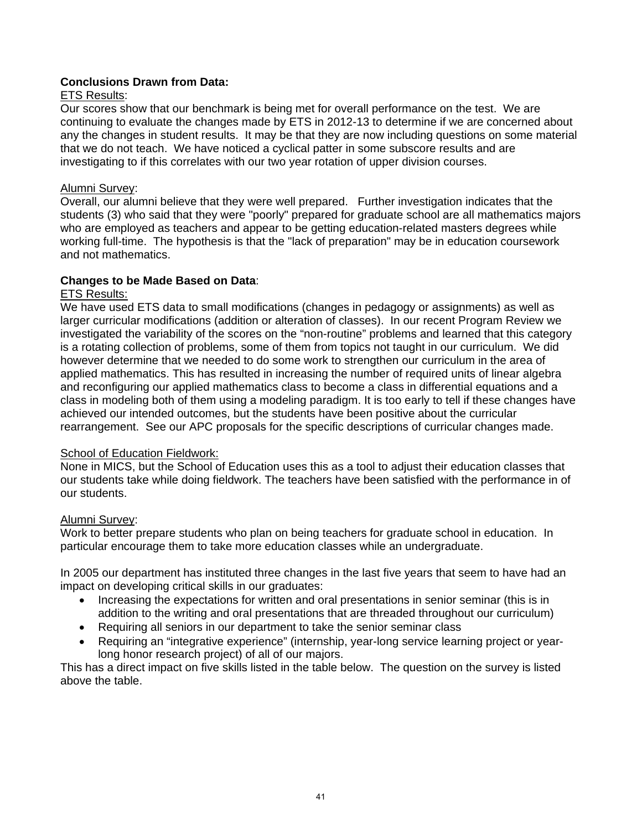# **Conclusions Drawn from Data:**

# ETS Results:

Our scores show that our benchmark is being met for overall performance on the test. We are continuing to evaluate the changes made by ETS in 2012-13 to determine if we are concerned about any the changes in student results. It may be that they are now including questions on some material that we do not teach. We have noticed a cyclical patter in some subscore results and are investigating to if this correlates with our two year rotation of upper division courses.

# Alumni Survey:

Overall, our alumni believe that they were well prepared. Further investigation indicates that the students (3) who said that they were "poorly" prepared for graduate school are all mathematics majors who are employed as teachers and appear to be getting education-related masters degrees while working full-time. The hypothesis is that the "lack of preparation" may be in education coursework and not mathematics.

# **Changes to be Made Based on Data**:

# **ETS Results:**

We have used ETS data to small modifications (changes in pedagogy or assignments) as well as larger curricular modifications (addition or alteration of classes). In our recent Program Review we investigated the variability of the scores on the "non-routine" problems and learned that this category is a rotating collection of problems, some of them from topics not taught in our curriculum. We did however determine that we needed to do some work to strengthen our curriculum in the area of applied mathematics. This has resulted in increasing the number of required units of linear algebra and reconfiguring our applied mathematics class to become a class in differential equations and a class in modeling both of them using a modeling paradigm. It is too early to tell if these changes have achieved our intended outcomes, but the students have been positive about the curricular rearrangement. See our APC proposals for the specific descriptions of curricular changes made.

# School of Education Fieldwork:

None in MICS, but the School of Education uses this as a tool to adjust their education classes that our students take while doing fieldwork. The teachers have been satisfied with the performance in of our students.

# Alumni Survey:

Work to better prepare students who plan on being teachers for graduate school in education. In particular encourage them to take more education classes while an undergraduate.

In 2005 our department has instituted three changes in the last five years that seem to have had an impact on developing critical skills in our graduates:

- Increasing the expectations for written and oral presentations in senior seminar (this is in addition to the writing and oral presentations that are threaded throughout our curriculum)
- Requiring all seniors in our department to take the senior seminar class
- Requiring an "integrative experience" (internship, year-long service learning project or yearlong honor research project) of all of our majors.

This has a direct impact on five skills listed in the table below. The question on the survey is listed above the table.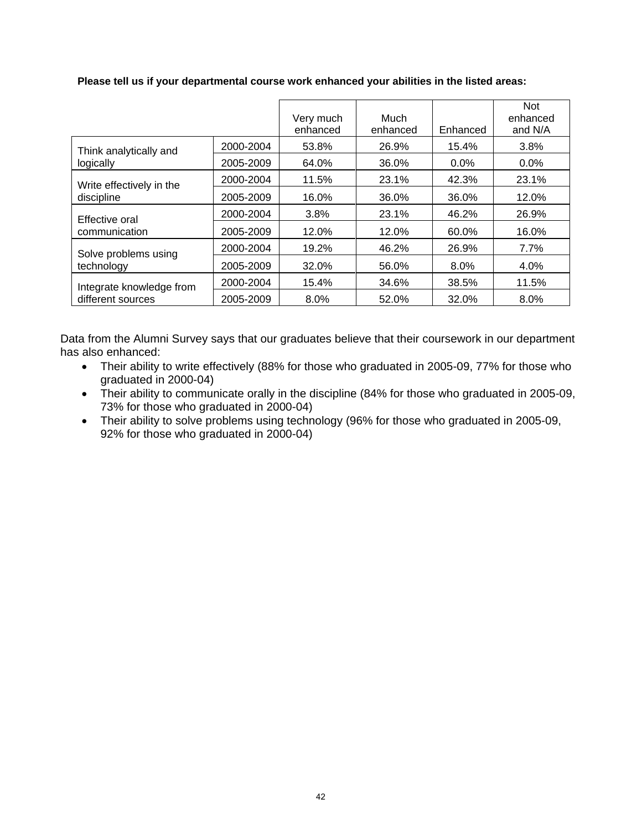|                                               |           | Very much<br>enhanced | Much<br>enhanced | Enhanced | <b>Not</b><br>enhanced<br>and N/A |
|-----------------------------------------------|-----------|-----------------------|------------------|----------|-----------------------------------|
| Think analytically and<br>logically           | 2000-2004 | 53.8%                 | 26.9%            | 15.4%    | 3.8%                              |
|                                               | 2005-2009 | 64.0%                 | 36.0%            | $0.0\%$  | $0.0\%$                           |
| Write effectively in the<br>discipline        | 2000-2004 | 11.5%                 | 23.1%            | 42.3%    | 23.1%                             |
|                                               | 2005-2009 | 16.0%                 | 36.0%            | 36.0%    | 12.0%                             |
| Effective oral<br>communication               | 2000-2004 | 3.8%                  | 23.1%            | 46.2%    | 26.9%                             |
|                                               | 2005-2009 | 12.0%                 | 12.0%            | 60.0%    | 16.0%                             |
| Solve problems using<br>technology            | 2000-2004 | 19.2%                 | 46.2%            | 26.9%    | 7.7%                              |
|                                               | 2005-2009 | 32.0%                 | 56.0%            | 8.0%     | 4.0%                              |
| Integrate knowledge from<br>different sources | 2000-2004 | 15.4%                 | 34.6%            | 38.5%    | 11.5%                             |
|                                               | 2005-2009 | 8.0%                  | 52.0%            | 32.0%    | 8.0%                              |
|                                               |           |                       |                  |          |                                   |

#### **Please tell us if your departmental course work enhanced your abilities in the listed areas:**

Data from the Alumni Survey says that our graduates believe that their coursework in our department has also enhanced:

- Their ability to write effectively (88% for those who graduated in 2005-09, 77% for those who graduated in 2000-04)
- Their ability to communicate orally in the discipline (84% for those who graduated in 2005-09, 73% for those who graduated in 2000-04)
- Their ability to solve problems using technology (96% for those who graduated in 2005-09, 92% for those who graduated in 2000-04)